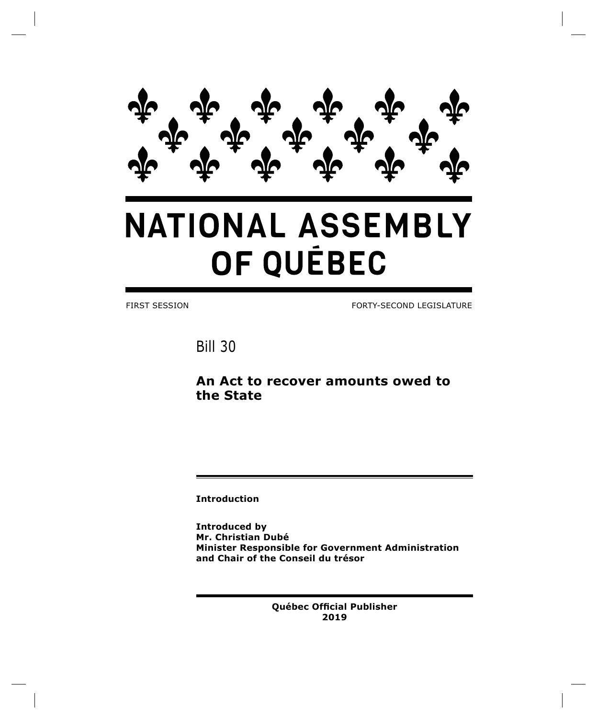

# **NATIONAL ASSEMBLY** OF QUÉBEC

FIRST SESSION FORTY-SECOND LEGISLATURE

Bill 30

# **An Act to recover amounts owed to the State**

**Introduction**

**Introduced by Mr. Christian Dubé Minister Responsible for Government Administration and Chair of the Conseil du trésor**

> **Québec Official Publisher 2019**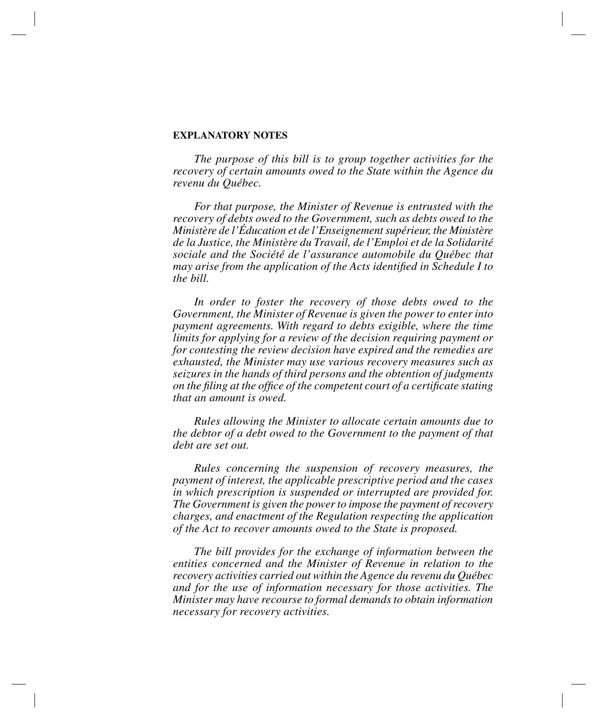# **EXPLANATORY NOTES**

*The purpose of this bill is to group together activities for the recovery of certain amounts owed to the State within the Agence du revenu du Québec.*

*For that purpose, the Minister of Revenue is entrusted with the recovery of debts owed to the Government, such as debts owed to the Ministère de l'Éducation et de l'Enseignement supérieur, the Ministère de la Justice, the Ministère du Travail, de l'Emploi et de la Solidarité sociale and the Société de l'assurance automobile du Québec that may arise from the application of the Acts identified in Schedule I to the bill.*

In order to foster the recovery of those debts owed to the *Government, the Minister of Revenue is given the power to enter into payment agreements. With regard to debts exigible, where the time limits for applying for a review of the decision requiring payment or for contesting the review decision have expired and the remedies are exhausted, the Minister may use various recovery measures such as seizures in the hands of third persons and the obtention of judgments on the filing at the office of the competent court of a certificate stating that an amount is owed.*

*Rules allowing the Minister to allocate certain amounts due to the debtor of a debt owed to the Government to the payment of that debt are set out.*

*Rules concerning the suspension of recovery measures, the payment of interest, the applicable prescriptive period and the cases in which prescription is suspended or interrupted are provided for. The Government is given the power to impose the payment of recovery charges, and enactment of the Regulation respecting the application of the Act to recover amounts owed to the State is proposed.*

*The bill provides for the exchange of information between the entities concerned and the Minister of Revenue in relation to the recovery activities carried out within the Agence du revenu du Québec and for the use of information necessary for those activities. The Minister may have recourse to formal demands to obtain information necessary for recovery activities.*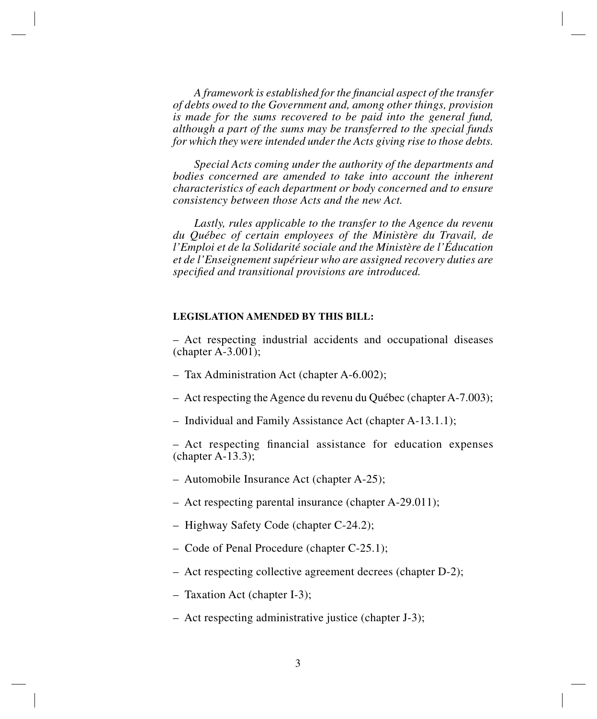*A framework is established for the financial aspect of the transfer of debts owed to the Government and, among other things, provision is made for the sums recovered to be paid into the general fund, although a part of the sums may be transferred to the special funds for which they were intended under the Acts giving rise to those debts.*

*Special Acts coming under the authority of the departments and bodies concerned are amended to take into account the inherent characteristics of each department or body concerned and to ensure consistency between those Acts and the new Act.*

*Lastly, rules applicable to the transfer to the Agence du revenu du Québec of certain employees of the Ministère du Travail, de l'Emploi et de la Solidarité sociale and the Ministère de l'Éducation et de l'Enseignement supérieur who are assigned recovery duties are specified and transitional provisions are introduced.*

# **LEGISLATION AMENDED BY THIS BILL:**

– Act respecting industrial accidents and occupational diseases (chapter A-3.001);

- Tax Administration Act (chapter A-6.002);
- Act respecting the Agence du revenu du Québec (chapter A-7.003);
- Individual and Family Assistance Act (chapter A-13.1.1);

– Act respecting financial assistance for education expenses  $(charbert A-13.3);$ 

- Automobile Insurance Act (chapter A-25);
- Act respecting parental insurance (chapter A-29.011);
- Highway Safety Code (chapter C-24.2);
- Code of Penal Procedure (chapter C-25.1);
- Act respecting collective agreement decrees (chapter D-2);
- Taxation Act (chapter I-3);
- Act respecting administrative justice (chapter J-3);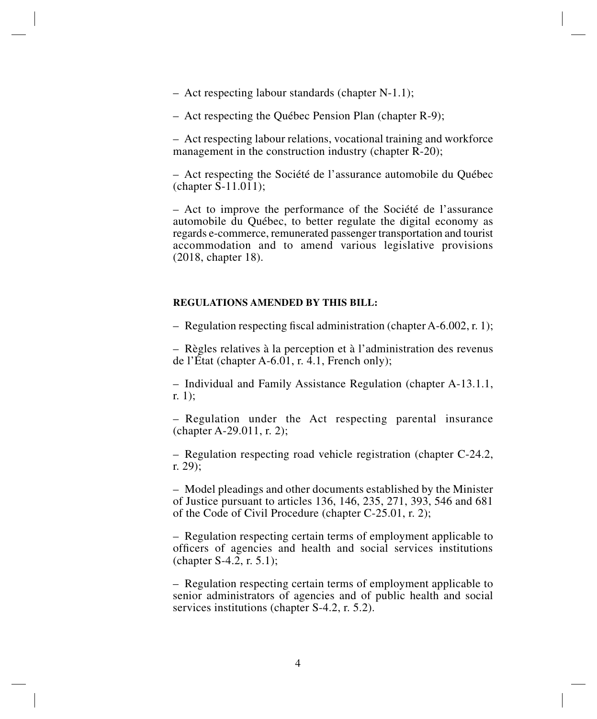– Act respecting labour standards (chapter N-1.1);

– Act respecting the Québec Pension Plan (chapter R-9);

– Act respecting labour relations, vocational training and workforce management in the construction industry (chapter R-20);

– Act respecting the Société de l'assurance automobile du Québec (chapter S-11.011);

– Act to improve the performance of the Société de l'assurance automobile du Québec, to better regulate the digital economy as regards e-commerce, remunerated passenger transportation and tourist accommodation and to amend various legislative provisions (2018, chapter 18).

# **REGULATIONS AMENDED BY THIS BILL:**

– Regulation respecting fiscal administration (chapter A-6.002, r. 1);

– Règles relatives à la perception et à l'administration des revenus de l'État (chapter A-6.01, r. 4.1, French only);

– Individual and Family Assistance Regulation (chapter A-13.1.1, r. 1);

– Regulation under the Act respecting parental insurance (chapter A-29.011, r. 2);

– Regulation respecting road vehicle registration (chapter C-24.2, r. 29);

– Model pleadings and other documents established by the Minister of Justice pursuant to articles 136, 146, 235, 271, 393, 546 and 681 of the Code of Civil Procedure (chapter C-25.01, r. 2);

– Regulation respecting certain terms of employment applicable to officers of agencies and health and social services institutions (chapter  $S-4.\overline{2}$ , r. 5.1);

– Regulation respecting certain terms of employment applicable to senior administrators of agencies and of public health and social services institutions (chapter S-4.2, r. 5.2).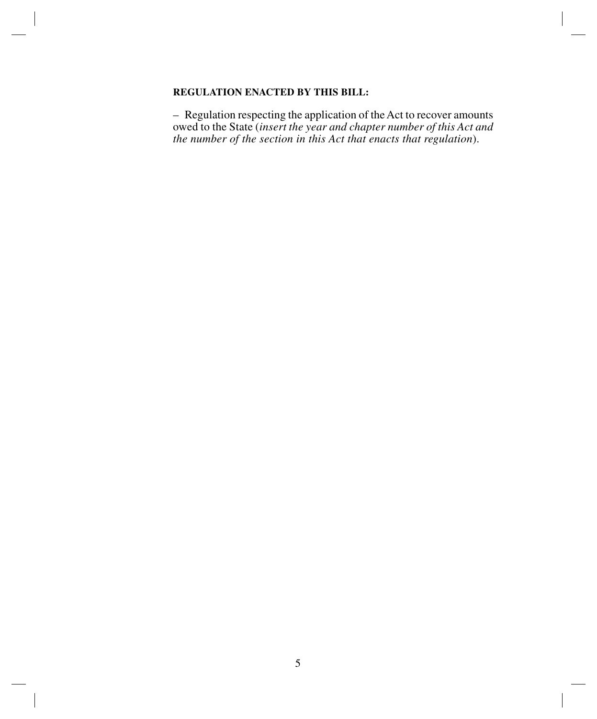# **REGULATION ENACTED BY THIS BILL:**

– Regulation respecting the application of the Act to recover amounts owed to the State (*insert the year and chapter number of this Act and the number of the section in this Act that enacts that regulation*).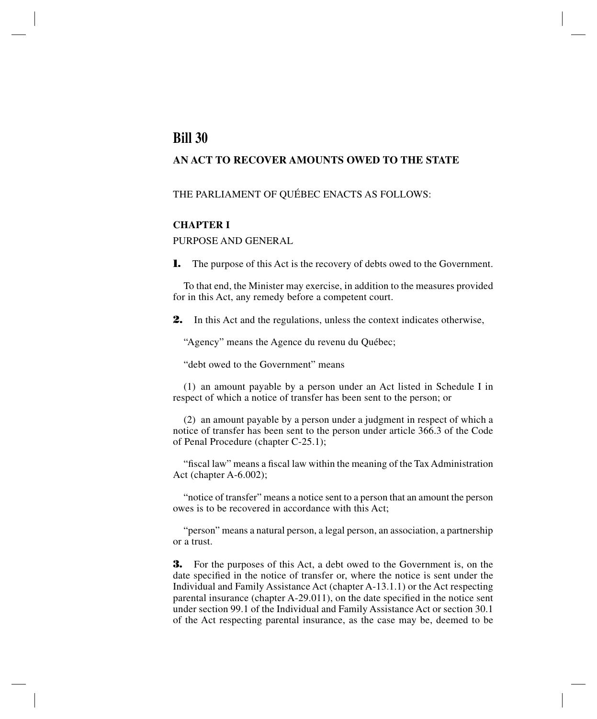# **Bill 30**

# **AN ACT TO RECOVER AMOUNTS OWED TO THE STATE**

# THE PARLIAMENT OF QUÉBEC ENACTS AS FOLLOWS:

# **CHAPTER I**

PURPOSE AND GENERAL

**1.** The purpose of this Act is the recovery of debts owed to the Government.

To that end, the Minister may exercise, in addition to the measures provided for in this Act, any remedy before a competent court.

**2.** In this Act and the regulations, unless the context indicates otherwise,

"Agency" means the Agence du revenu du Québec;

"debt owed to the Government" means

(1) an amount payable by a person under an Act listed in Schedule I in respect of which a notice of transfer has been sent to the person; or

(2) an amount payable by a person under a judgment in respect of which a notice of transfer has been sent to the person under article 366.3 of the Code of Penal Procedure (chapter C-25.1);

"fiscal law" means a fiscal law within the meaning of the Tax Administration Act (chapter A-6.002);

"notice of transfer" means a notice sent to a person that an amount the person owes is to be recovered in accordance with this Act;

"person" means a natural person, a legal person, an association, a partnership or a trust.

**3.** For the purposes of this Act, a debt owed to the Government is, on the date specified in the notice of transfer or, where the notice is sent under the Individual and Family Assistance Act (chapter A-13.1.1) or the Act respecting parental insurance (chapter A-29.011), on the date specified in the notice sent under section 99.1 of the Individual and Family Assistance Act or section 30.1 of the Act respecting parental insurance, as the case may be, deemed to be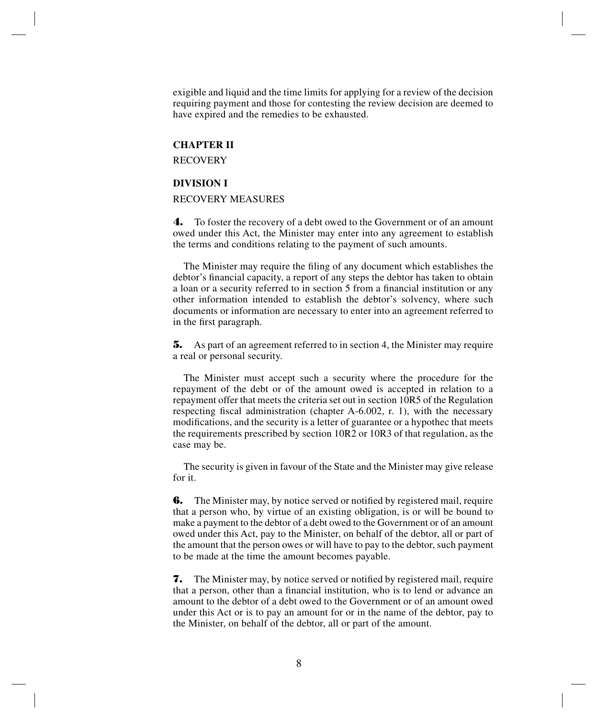exigible and liquid and the time limits for applying for a review of the decision requiring payment and those for contesting the review decision are deemed to have expired and the remedies to be exhausted.

# **CHAPTER II**

**RECOVERY** 

#### **DIVISION I**

# RECOVERY MEASURES

**4.** To foster the recovery of a debt owed to the Government or of an amount owed under this Act, the Minister may enter into any agreement to establish the terms and conditions relating to the payment of such amounts.

The Minister may require the filing of any document which establishes the debtor's financial capacity, a report of any steps the debtor has taken to obtain a loan or a security referred to in section 5 from a financial institution or any other information intended to establish the debtor's solvency, where such documents or information are necessary to enter into an agreement referred to in the first paragraph.

**5.** As part of an agreement referred to in section 4, the Minister may require a real or personal security.

The Minister must accept such a security where the procedure for the repayment of the debt or of the amount owed is accepted in relation to a repayment offer that meets the criteria set out in section 10R5 of the Regulation respecting fiscal administration (chapter A-6.002, r. 1), with the necessary modifications, and the security is a letter of guarantee or a hypothec that meets the requirements prescribed by section 10R2 or 10R3 of that regulation, as the case may be.

The security is given in favour of the State and the Minister may give release for it.

**6.** The Minister may, by notice served or notified by registered mail, require that a person who, by virtue of an existing obligation, is or will be bound to make a payment to the debtor of a debt owed to the Government or of an amount owed under this Act, pay to the Minister, on behalf of the debtor, all or part of the amount that the person owes or will have to pay to the debtor, such payment to be made at the time the amount becomes payable.

**7.** The Minister may, by notice served or notified by registered mail, require that a person, other than a financial institution, who is to lend or advance an amount to the debtor of a debt owed to the Government or of an amount owed under this Act or is to pay an amount for or in the name of the debtor, pay to the Minister, on behalf of the debtor, all or part of the amount.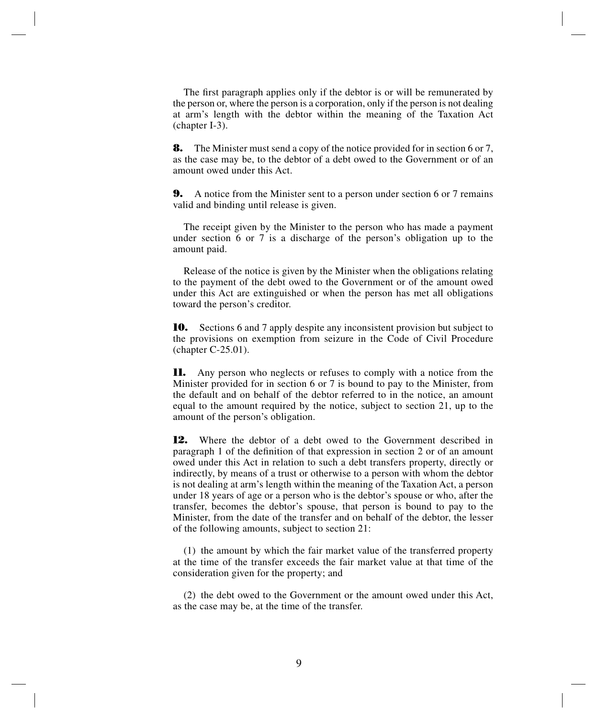The first paragraph applies only if the debtor is or will be remunerated by the person or, where the person is a corporation, only if the person is not dealing at arm's length with the debtor within the meaning of the Taxation Act (chapter I-3).

**8.** The Minister must send a copy of the notice provided for in section 6 or 7, as the case may be, to the debtor of a debt owed to the Government or of an amount owed under this Act.

**9.** A notice from the Minister sent to a person under section 6 or 7 remains valid and binding until release is given.

The receipt given by the Minister to the person who has made a payment under section 6 or 7 is a discharge of the person's obligation up to the amount paid.

Release of the notice is given by the Minister when the obligations relating to the payment of the debt owed to the Government or of the amount owed under this Act are extinguished or when the person has met all obligations toward the person's creditor.

**10.** Sections 6 and 7 apply despite any inconsistent provision but subject to the provisions on exemption from seizure in the Code of Civil Procedure (chapter C-25.01).

**11.** Any person who neglects or refuses to comply with a notice from the Minister provided for in section 6 or 7 is bound to pay to the Minister, from the default and on behalf of the debtor referred to in the notice, an amount equal to the amount required by the notice, subject to section 21, up to the amount of the person's obligation.

**12.** Where the debtor of a debt owed to the Government described in paragraph 1 of the definition of that expression in section 2 or of an amount owed under this Act in relation to such a debt transfers property, directly or indirectly, by means of a trust or otherwise to a person with whom the debtor is not dealing at arm's length within the meaning of the Taxation Act, a person under 18 years of age or a person who is the debtor's spouse or who, after the transfer, becomes the debtor's spouse, that person is bound to pay to the Minister, from the date of the transfer and on behalf of the debtor, the lesser of the following amounts, subject to section 21:

(1) the amount by which the fair market value of the transferred property at the time of the transfer exceeds the fair market value at that time of the consideration given for the property; and

(2) the debt owed to the Government or the amount owed under this Act, as the case may be, at the time of the transfer.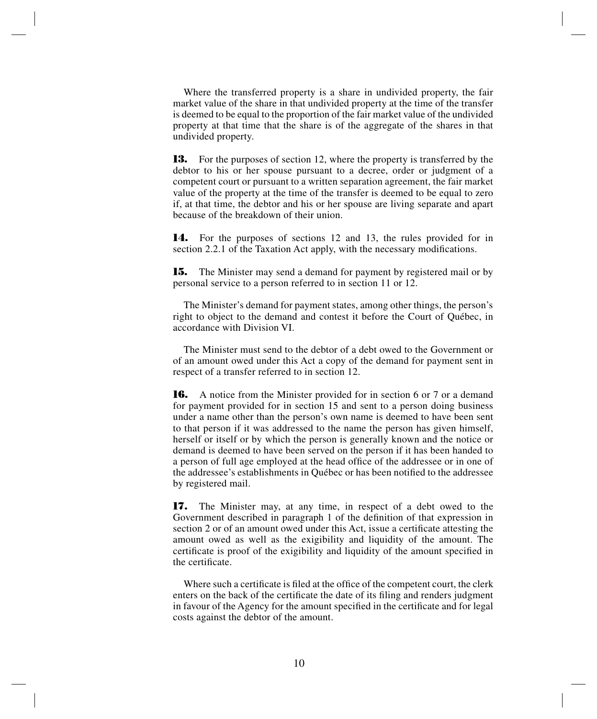Where the transferred property is a share in undivided property, the fair market value of the share in that undivided property at the time of the transfer is deemed to be equal to the proportion of the fair market value of the undivided property at that time that the share is of the aggregate of the shares in that undivided property.

**13.** For the purposes of section 12, where the property is transferred by the debtor to his or her spouse pursuant to a decree, order or judgment of a competent court or pursuant to a written separation agreement, the fair market value of the property at the time of the transfer is deemed to be equal to zero if, at that time, the debtor and his or her spouse are living separate and apart because of the breakdown of their union.

**14.** For the purposes of sections 12 and 13, the rules provided for in section 2.2.1 of the Taxation Act apply, with the necessary modifications.

**15.** The Minister may send a demand for payment by registered mail or by personal service to a person referred to in section 11 or 12.

The Minister's demand for payment states, among other things, the person's right to object to the demand and contest it before the Court of Québec, in accordance with Division VI.

The Minister must send to the debtor of a debt owed to the Government or of an amount owed under this Act a copy of the demand for payment sent in respect of a transfer referred to in section 12.

**16.** A notice from the Minister provided for in section 6 or 7 or a demand for payment provided for in section 15 and sent to a person doing business under a name other than the person's own name is deemed to have been sent to that person if it was addressed to the name the person has given himself, herself or itself or by which the person is generally known and the notice or demand is deemed to have been served on the person if it has been handed to a person of full age employed at the head office of the addressee or in one of the addressee's establishments in Québec or has been notified to the addressee by registered mail.

**17.** The Minister may, at any time, in respect of a debt owed to the Government described in paragraph 1 of the definition of that expression in section 2 or of an amount owed under this Act, issue a certificate attesting the amount owed as well as the exigibility and liquidity of the amount. The certificate is proof of the exigibility and liquidity of the amount specified in the certificate.

Where such a certificate is filed at the office of the competent court, the clerk enters on the back of the certificate the date of its filing and renders judgment in favour of the Agency for the amount specified in the certificate and for legal costs against the debtor of the amount.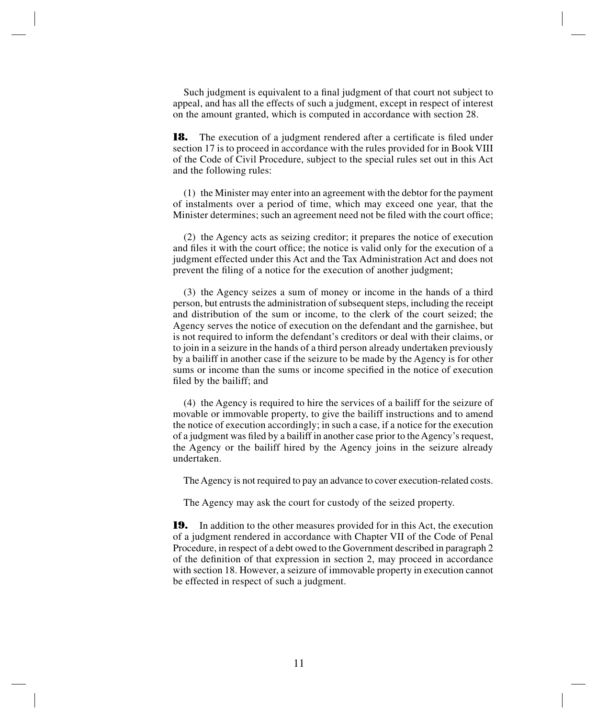Such judgment is equivalent to a final judgment of that court not subject to appeal, and has all the effects of such a judgment, except in respect of interest on the amount granted, which is computed in accordance with section 28.

**18.** The execution of a judgment rendered after a certificate is filed under section 17 is to proceed in accordance with the rules provided for in Book VIII of the Code of Civil Procedure, subject to the special rules set out in this Act and the following rules:

(1) the Minister may enter into an agreement with the debtor for the payment of instalments over a period of time, which may exceed one year, that the Minister determines; such an agreement need not be filed with the court office;

(2) the Agency acts as seizing creditor; it prepares the notice of execution and files it with the court office; the notice is valid only for the execution of a judgment effected under this Act and the Tax Administration Act and does not prevent the filing of a notice for the execution of another judgment;

(3) the Agency seizes a sum of money or income in the hands of a third person, but entrusts the administration of subsequent steps, including the receipt and distribution of the sum or income, to the clerk of the court seized; the Agency serves the notice of execution on the defendant and the garnishee, but is not required to inform the defendant's creditors or deal with their claims, or to join in a seizure in the hands of a third person already undertaken previously by a bailiff in another case if the seizure to be made by the Agency is for other sums or income than the sums or income specified in the notice of execution filed by the bailiff; and

(4) the Agency is required to hire the services of a bailiff for the seizure of movable or immovable property, to give the bailiff instructions and to amend the notice of execution accordingly; in such a case, if a notice for the execution of a judgment was filed by a bailiff in another case prior to the Agency's request, the Agency or the bailiff hired by the Agency joins in the seizure already undertaken.

The Agency is not required to pay an advance to cover execution-related costs.

The Agency may ask the court for custody of the seized property.

**19.** In addition to the other measures provided for in this Act, the execution of a judgment rendered in accordance with Chapter VII of the Code of Penal Procedure, in respect of a debt owed to the Government described in paragraph 2 of the definition of that expression in section 2, may proceed in accordance with section 18. However, a seizure of immovable property in execution cannot be effected in respect of such a judgment.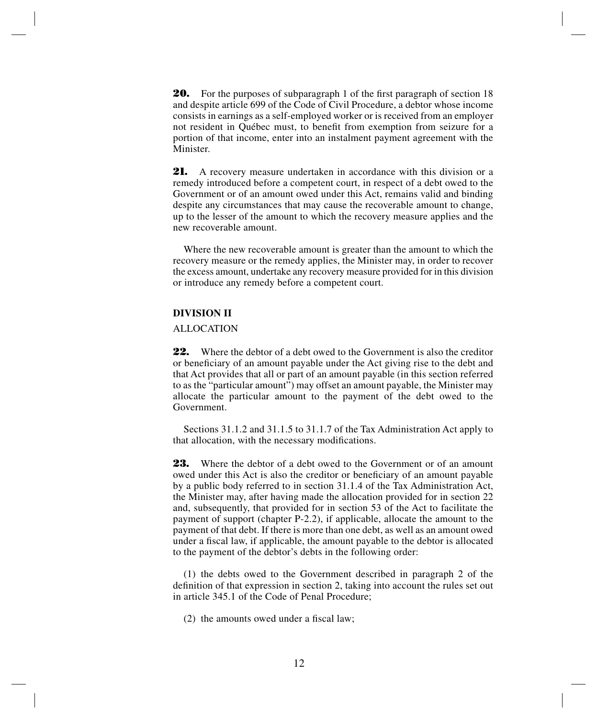**20.** For the purposes of subparagraph 1 of the first paragraph of section 18 and despite article 699 of the Code of Civil Procedure, a debtor whose income consists in earnings as a self-employed worker or is received from an employer not resident in Québec must, to benefit from exemption from seizure for a portion of that income, enter into an instalment payment agreement with the Minister.

**21.** A recovery measure undertaken in accordance with this division or a remedy introduced before a competent court, in respect of a debt owed to the Government or of an amount owed under this Act, remains valid and binding despite any circumstances that may cause the recoverable amount to change, up to the lesser of the amount to which the recovery measure applies and the new recoverable amount.

Where the new recoverable amount is greater than the amount to which the recovery measure or the remedy applies, the Minister may, in order to recover the excess amount, undertake any recovery measure provided for in this division or introduce any remedy before a competent court.

## **DIVISION II**

#### ALLOCATION

**22.** Where the debtor of a debt owed to the Government is also the creditor or beneficiary of an amount payable under the Act giving rise to the debt and that Act provides that all or part of an amount payable (in this section referred to as the "particular amount") may offset an amount payable, the Minister may allocate the particular amount to the payment of the debt owed to the Government.

Sections 31.1.2 and 31.1.5 to 31.1.7 of the Tax Administration Act apply to that allocation, with the necessary modifications.

**23.** Where the debtor of a debt owed to the Government or of an amount owed under this Act is also the creditor or beneficiary of an amount payable by a public body referred to in section 31.1.4 of the Tax Administration Act, the Minister may, after having made the allocation provided for in section 22 and, subsequently, that provided for in section 53 of the Act to facilitate the payment of support (chapter P-2.2), if applicable, allocate the amount to the payment of that debt. If there is more than one debt, as well as an amount owed under a fiscal law, if applicable, the amount payable to the debtor is allocated to the payment of the debtor's debts in the following order:

(1) the debts owed to the Government described in paragraph 2 of the definition of that expression in section 2, taking into account the rules set out in article 345.1 of the Code of Penal Procedure;

(2) the amounts owed under a fiscal law;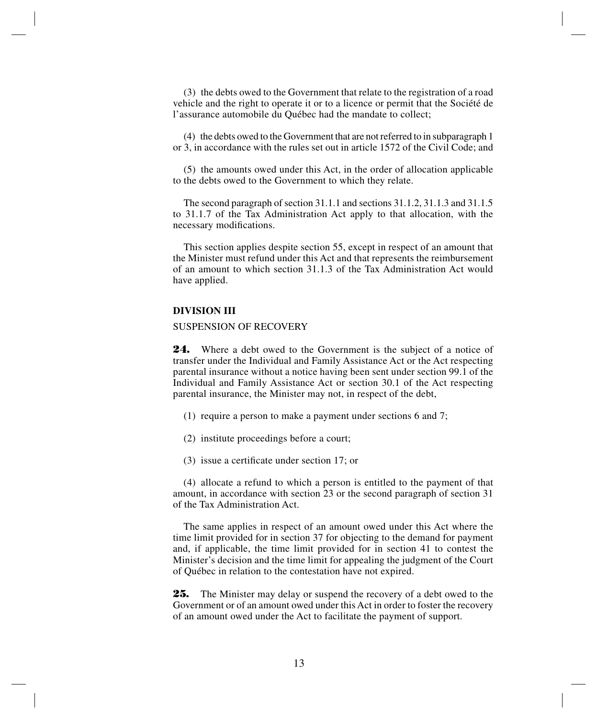(3) the debts owed to the Government that relate to the registration of a road vehicle and the right to operate it or to a licence or permit that the Société de l'assurance automobile du Québec had the mandate to collect;

(4) the debts owed to the Government that are not referred to in subparagraph 1 or 3, in accordance with the rules set out in article 1572 of the Civil Code; and

(5) the amounts owed under this Act, in the order of allocation applicable to the debts owed to the Government to which they relate.

The second paragraph of section 31.1.1 and sections 31.1.2, 31.1.3 and 31.1.5 to 31.1.7 of the Tax Administration Act apply to that allocation, with the necessary modifications.

This section applies despite section 55, except in respect of an amount that the Minister must refund under this Act and that represents the reimbursement of an amount to which section 31.1.3 of the Tax Administration Act would have applied.

#### **DIVISION III**

#### SUSPENSION OF RECOVERY

**24.** Where a debt owed to the Government is the subject of a notice of transfer under the Individual and Family Assistance Act or the Act respecting parental insurance without a notice having been sent under section 99.1 of the Individual and Family Assistance Act or section 30.1 of the Act respecting parental insurance, the Minister may not, in respect of the debt,

- (1) require a person to make a payment under sections 6 and 7;
- (2) institute proceedings before a court;
- (3) issue a certificate under section 17; or

(4) allocate a refund to which a person is entitled to the payment of that amount, in accordance with section 23 or the second paragraph of section 31 of the Tax Administration Act.

The same applies in respect of an amount owed under this Act where the time limit provided for in section 37 for objecting to the demand for payment and, if applicable, the time limit provided for in section 41 to contest the Minister's decision and the time limit for appealing the judgment of the Court of Québec in relation to the contestation have not expired.

**25.** The Minister may delay or suspend the recovery of a debt owed to the Government or of an amount owed under this Act in order to foster the recovery of an amount owed under the Act to facilitate the payment of support.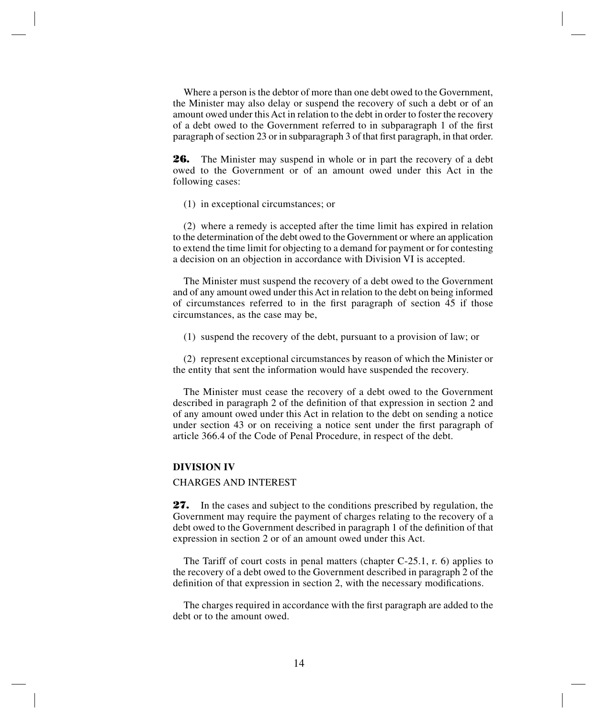Where a person is the debtor of more than one debt owed to the Government, the Minister may also delay or suspend the recovery of such a debt or of an amount owed under this Act in relation to the debt in order to foster the recovery of a debt owed to the Government referred to in subparagraph 1 of the first paragraph of section 23 or in subparagraph 3 of that first paragraph, in that order.

**26.** The Minister may suspend in whole or in part the recovery of a debt owed to the Government or of an amount owed under this Act in the following cases:

(1) in exceptional circumstances; or

(2) where a remedy is accepted after the time limit has expired in relation to the determination of the debt owed to the Government or where an application to extend the time limit for objecting to a demand for payment or for contesting a decision on an objection in accordance with Division VI is accepted.

The Minister must suspend the recovery of a debt owed to the Government and of any amount owed under this Act in relation to the debt on being informed of circumstances referred to in the first paragraph of section 45 if those circumstances, as the case may be,

(1) suspend the recovery of the debt, pursuant to a provision of law; or

(2) represent exceptional circumstances by reason of which the Minister or the entity that sent the information would have suspended the recovery.

The Minister must cease the recovery of a debt owed to the Government described in paragraph 2 of the definition of that expression in section 2 and of any amount owed under this Act in relation to the debt on sending a notice under section 43 or on receiving a notice sent under the first paragraph of article 366.4 of the Code of Penal Procedure, in respect of the debt.

#### **DIVISION IV**

#### CHARGES AND INTEREST

**27.** In the cases and subject to the conditions prescribed by regulation, the Government may require the payment of charges relating to the recovery of a debt owed to the Government described in paragraph 1 of the definition of that expression in section 2 or of an amount owed under this Act.

The Tariff of court costs in penal matters (chapter C-25.1, r. 6) applies to the recovery of a debt owed to the Government described in paragraph 2 of the definition of that expression in section 2, with the necessary modifications.

The charges required in accordance with the first paragraph are added to the debt or to the amount owed.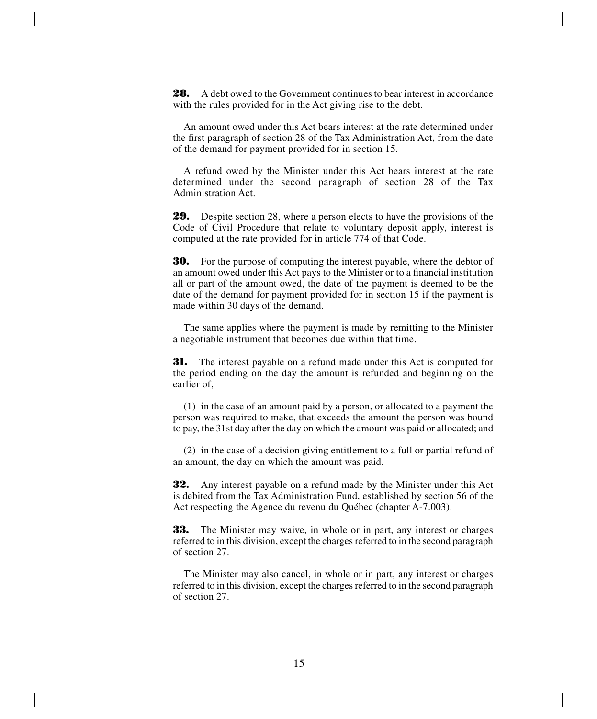**28.** A debt owed to the Government continues to bear interest in accordance with the rules provided for in the Act giving rise to the debt.

An amount owed under this Act bears interest at the rate determined under the first paragraph of section 28 of the Tax Administration Act, from the date of the demand for payment provided for in section 15.

A refund owed by the Minister under this Act bears interest at the rate determined under the second paragraph of section 28 of the Tax Administration Act.

**29.** Despite section 28, where a person elects to have the provisions of the Code of Civil Procedure that relate to voluntary deposit apply, interest is computed at the rate provided for in article 774 of that Code.

**30.** For the purpose of computing the interest payable, where the debtor of an amount owed under this Act pays to the Minister or to a financial institution all or part of the amount owed, the date of the payment is deemed to be the date of the demand for payment provided for in section 15 if the payment is made within 30 days of the demand.

The same applies where the payment is made by remitting to the Minister a negotiable instrument that becomes due within that time.

**31.** The interest payable on a refund made under this Act is computed for the period ending on the day the amount is refunded and beginning on the earlier of,

(1) in the case of an amount paid by a person, or allocated to a payment the person was required to make, that exceeds the amount the person was bound to pay, the 31st day after the day on which the amount was paid or allocated; and

(2) in the case of a decision giving entitlement to a full or partial refund of an amount, the day on which the amount was paid.

**32.** Any interest payable on a refund made by the Minister under this Act is debited from the Tax Administration Fund, established by section 56 of the Act respecting the Agence du revenu du Québec (chapter A-7.003).

**33.** The Minister may waive, in whole or in part, any interest or charges referred to in this division, except the charges referred to in the second paragraph of section 27.

The Minister may also cancel, in whole or in part, any interest or charges referred to in this division, except the charges referred to in the second paragraph of section 27.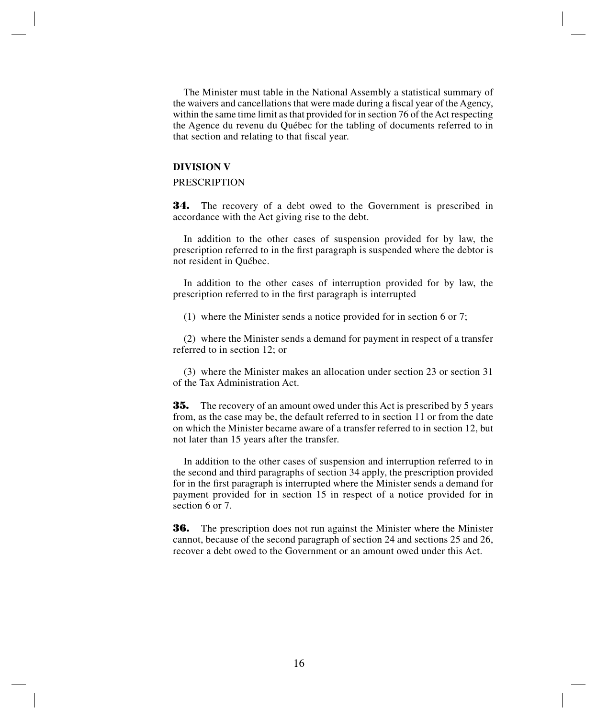The Minister must table in the National Assembly a statistical summary of the waivers and cancellations that were made during a fiscal year of the Agency, within the same time limit as that provided for in section 76 of the Act respecting the Agence du revenu du Québec for the tabling of documents referred to in that section and relating to that fiscal year.

#### **DIVISION V**

# PRESCRIPTION

**34.** The recovery of a debt owed to the Government is prescribed in accordance with the Act giving rise to the debt.

In addition to the other cases of suspension provided for by law, the prescription referred to in the first paragraph is suspended where the debtor is not resident in Québec.

In addition to the other cases of interruption provided for by law, the prescription referred to in the first paragraph is interrupted

(1) where the Minister sends a notice provided for in section 6 or 7;

(2) where the Minister sends a demand for payment in respect of a transfer referred to in section 12; or

(3) where the Minister makes an allocation under section 23 or section 31 of the Tax Administration Act.

**35.** The recovery of an amount owed under this Act is prescribed by 5 years from, as the case may be, the default referred to in section 11 or from the date on which the Minister became aware of a transfer referred to in section 12, but not later than 15 years after the transfer.

In addition to the other cases of suspension and interruption referred to in the second and third paragraphs of section 34 apply, the prescription provided for in the first paragraph is interrupted where the Minister sends a demand for payment provided for in section 15 in respect of a notice provided for in section 6 or 7.

**36.** The prescription does not run against the Minister where the Minister cannot, because of the second paragraph of section 24 and sections 25 and 26, recover a debt owed to the Government or an amount owed under this Act.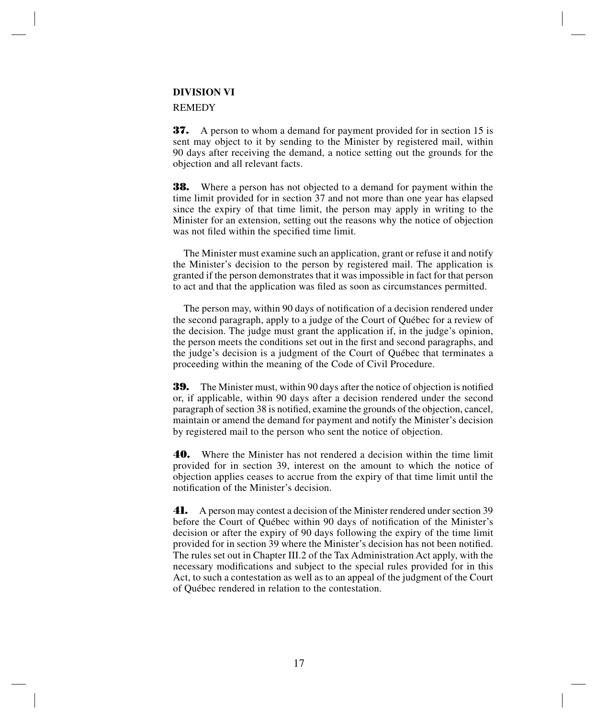# **DIVISION VI**

#### REMEDY

**37.** A person to whom a demand for payment provided for in section 15 is sent may object to it by sending to the Minister by registered mail, within 90 days after receiving the demand, a notice setting out the grounds for the objection and all relevant facts.

**38.** Where a person has not objected to a demand for payment within the time limit provided for in section 37 and not more than one year has elapsed since the expiry of that time limit, the person may apply in writing to the Minister for an extension, setting out the reasons why the notice of objection was not filed within the specified time limit.

The Minister must examine such an application, grant or refuse it and notify the Minister's decision to the person by registered mail. The application is granted if the person demonstrates that it was impossible in fact for that person to act and that the application was filed as soon as circumstances permitted.

The person may, within 90 days of notification of a decision rendered under the second paragraph, apply to a judge of the Court of Québec for a review of the decision. The judge must grant the application if, in the judge's opinion, the person meets the conditions set out in the first and second paragraphs, and the judge's decision is a judgment of the Court of Québec that terminates a proceeding within the meaning of the Code of Civil Procedure.

**39.** The Minister must, within 90 days after the notice of objection is notified or, if applicable, within 90 days after a decision rendered under the second paragraph of section 38 is notified, examine the grounds of the objection, cancel, maintain or amend the demand for payment and notify the Minister's decision by registered mail to the person who sent the notice of objection.

**40.** Where the Minister has not rendered a decision within the time limit provided for in section 39, interest on the amount to which the notice of objection applies ceases to accrue from the expiry of that time limit until the notification of the Minister's decision.

**41.** A person may contest a decision of the Minister rendered under section 39 before the Court of Québec within 90 days of notification of the Minister's decision or after the expiry of 90 days following the expiry of the time limit provided for in section 39 where the Minister's decision has not been notified. The rules set out in Chapter III.2 of the Tax Administration Act apply, with the necessary modifications and subject to the special rules provided for in this Act, to such a contestation as well as to an appeal of the judgment of the Court of Québec rendered in relation to the contestation.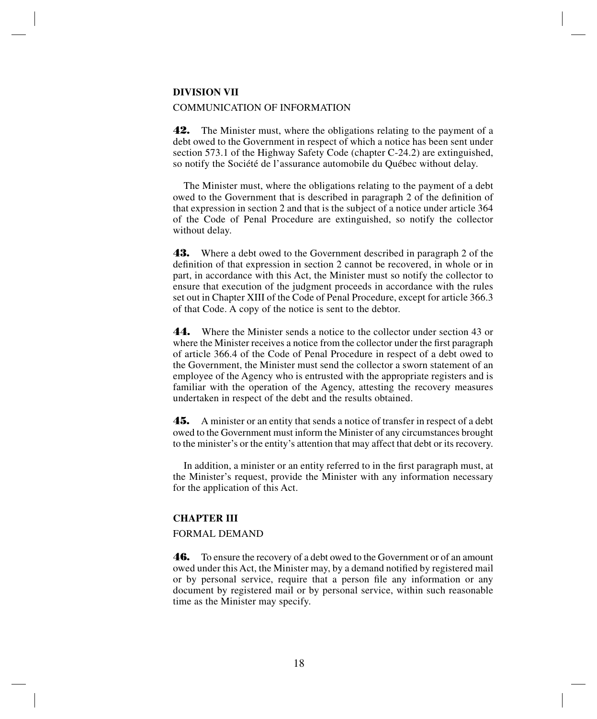#### **DIVISION VII**

#### COMMUNICATION OF INFORMATION

**42.** The Minister must, where the obligations relating to the payment of a debt owed to the Government in respect of which a notice has been sent under section 573.1 of the Highway Safety Code (chapter C-24.2) are extinguished, so notify the Société de l'assurance automobile du Québec without delay.

The Minister must, where the obligations relating to the payment of a debt owed to the Government that is described in paragraph 2 of the definition of that expression in section 2 and that is the subject of a notice under article 364 of the Code of Penal Procedure are extinguished, so notify the collector without delay.

**43.** Where a debt owed to the Government described in paragraph 2 of the definition of that expression in section 2 cannot be recovered, in whole or in part, in accordance with this Act, the Minister must so notify the collector to ensure that execution of the judgment proceeds in accordance with the rules set out in Chapter XIII of the Code of Penal Procedure, except for article 366.3 of that Code. A copy of the notice is sent to the debtor.

**44.** Where the Minister sends a notice to the collector under section 43 or where the Minister receives a notice from the collector under the first paragraph of article 366.4 of the Code of Penal Procedure in respect of a debt owed to the Government, the Minister must send the collector a sworn statement of an employee of the Agency who is entrusted with the appropriate registers and is familiar with the operation of the Agency, attesting the recovery measures undertaken in respect of the debt and the results obtained.

**45.** A minister or an entity that sends a notice of transfer in respect of a debt owed to the Government must inform the Minister of any circumstances brought to the minister's or the entity's attention that may affect that debt or its recovery.

In addition, a minister or an entity referred to in the first paragraph must, at the Minister's request, provide the Minister with any information necessary for the application of this Act.

## **CHAPTER III**

#### FORMAL DEMAND

**46.** To ensure the recovery of a debt owed to the Government or of an amount owed under this Act, the Minister may, by a demand notified by registered mail or by personal service, require that a person file any information or any document by registered mail or by personal service, within such reasonable time as the Minister may specify.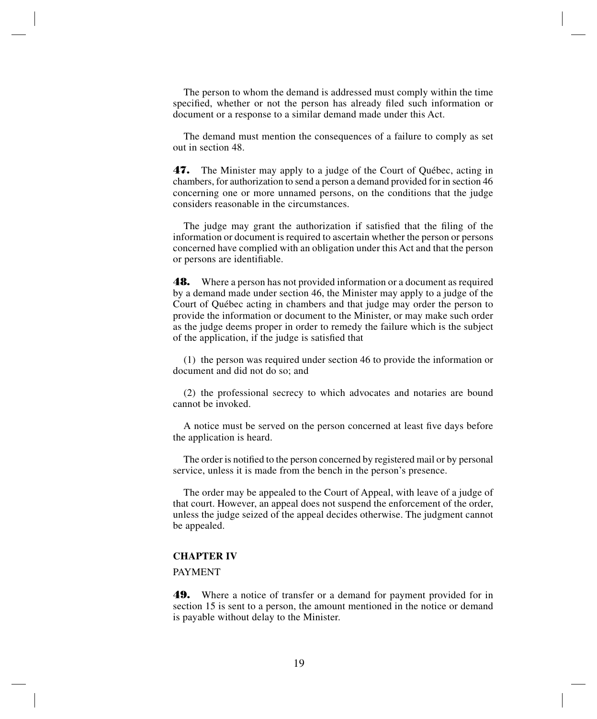The person to whom the demand is addressed must comply within the time specified, whether or not the person has already filed such information or document or a response to a similar demand made under this Act.

The demand must mention the consequences of a failure to comply as set out in section 48.

**47.** The Minister may apply to a judge of the Court of Québec, acting in chambers, for authorization to send a person a demand provided for in section 46 concerning one or more unnamed persons, on the conditions that the judge considers reasonable in the circumstances.

The judge may grant the authorization if satisfied that the filing of the information or document is required to ascertain whether the person or persons concerned have complied with an obligation under this Act and that the person or persons are identifiable.

**48.** Where a person has not provided information or a document as required by a demand made under section 46, the Minister may apply to a judge of the Court of Québec acting in chambers and that judge may order the person to provide the information or document to the Minister, or may make such order as the judge deems proper in order to remedy the failure which is the subject of the application, if the judge is satisfied that

(1) the person was required under section 46 to provide the information or document and did not do so; and

(2) the professional secrecy to which advocates and notaries are bound cannot be invoked.

A notice must be served on the person concerned at least five days before the application is heard.

The order is notified to the person concerned by registered mail or by personal service, unless it is made from the bench in the person's presence.

The order may be appealed to the Court of Appeal, with leave of a judge of that court. However, an appeal does not suspend the enforcement of the order, unless the judge seized of the appeal decides otherwise. The judgment cannot be appealed.

#### **CHAPTER IV**

# PAYMENT

**49.** Where a notice of transfer or a demand for payment provided for in section 15 is sent to a person, the amount mentioned in the notice or demand is payable without delay to the Minister.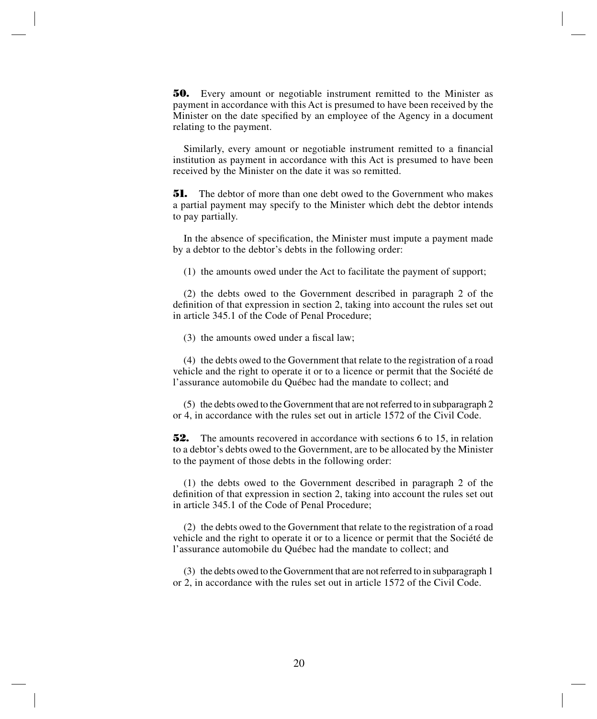**50.** Every amount or negotiable instrument remitted to the Minister as payment in accordance with this Act is presumed to have been received by the Minister on the date specified by an employee of the Agency in a document relating to the payment.

Similarly, every amount or negotiable instrument remitted to a financial institution as payment in accordance with this Act is presumed to have been received by the Minister on the date it was so remitted.

**51.** The debtor of more than one debt owed to the Government who makes a partial payment may specify to the Minister which debt the debtor intends to pay partially.

In the absence of specification, the Minister must impute a payment made by a debtor to the debtor's debts in the following order:

(1) the amounts owed under the Act to facilitate the payment of support;

(2) the debts owed to the Government described in paragraph 2 of the definition of that expression in section 2, taking into account the rules set out in article 345.1 of the Code of Penal Procedure;

(3) the amounts owed under a fiscal law;

(4) the debts owed to the Government that relate to the registration of a road vehicle and the right to operate it or to a licence or permit that the Société de l'assurance automobile du Québec had the mandate to collect; and

(5) the debts owed to the Government that are not referred to in subparagraph 2 or 4, in accordance with the rules set out in article 1572 of the Civil Code.

**52.** The amounts recovered in accordance with sections 6 to 15, in relation to a debtor's debts owed to the Government, are to be allocated by the Minister to the payment of those debts in the following order:

(1) the debts owed to the Government described in paragraph 2 of the definition of that expression in section 2, taking into account the rules set out in article 345.1 of the Code of Penal Procedure;

(2) the debts owed to the Government that relate to the registration of a road vehicle and the right to operate it or to a licence or permit that the Société de l'assurance automobile du Québec had the mandate to collect; and

(3) the debts owed to the Government that are not referred to in subparagraph 1 or 2, in accordance with the rules set out in article 1572 of the Civil Code.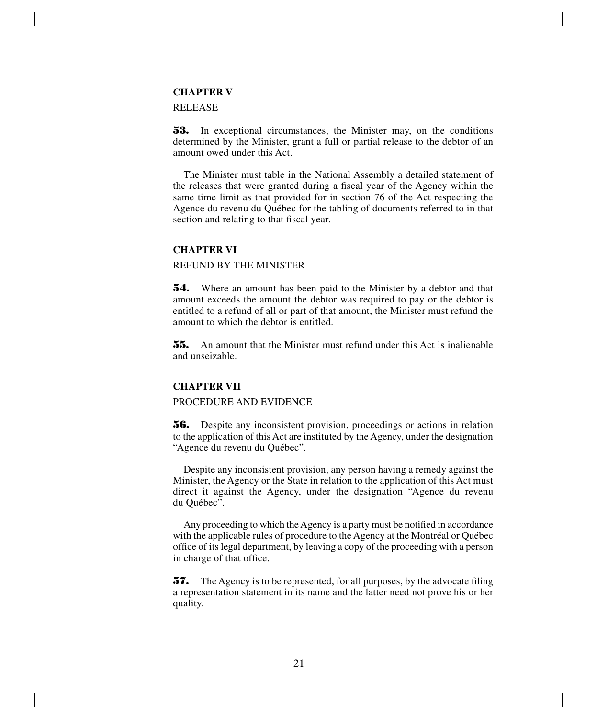# **CHAPTER V**

#### RELEASE

**53.** In exceptional circumstances, the Minister may, on the conditions determined by the Minister, grant a full or partial release to the debtor of an amount owed under this Act.

The Minister must table in the National Assembly a detailed statement of the releases that were granted during a fiscal year of the Agency within the same time limit as that provided for in section 76 of the Act respecting the Agence du revenu du Québec for the tabling of documents referred to in that section and relating to that fiscal year.

# **CHAPTER VI**

## REFUND BY THE MINISTER

**54.** Where an amount has been paid to the Minister by a debtor and that amount exceeds the amount the debtor was required to pay or the debtor is entitled to a refund of all or part of that amount, the Minister must refund the amount to which the debtor is entitled.

**55.** An amount that the Minister must refund under this Act is inalienable and unseizable.

#### **CHAPTER VII**

# PROCEDURE AND EVIDENCE

**56.** Despite any inconsistent provision, proceedings or actions in relation to the application of this Act are instituted by the Agency, under the designation "Agence du revenu du Québec".

Despite any inconsistent provision, any person having a remedy against the Minister, the Agency or the State in relation to the application of this Act must direct it against the Agency, under the designation "Agence du revenu du Québec".

Any proceeding to which the Agency is a party must be notified in accordance with the applicable rules of procedure to the Agency at the Montréal or Québec office of its legal department, by leaving a copy of the proceeding with a person in charge of that office.

**57.** The Agency is to be represented, for all purposes, by the advocate filing a representation statement in its name and the latter need not prove his or her quality.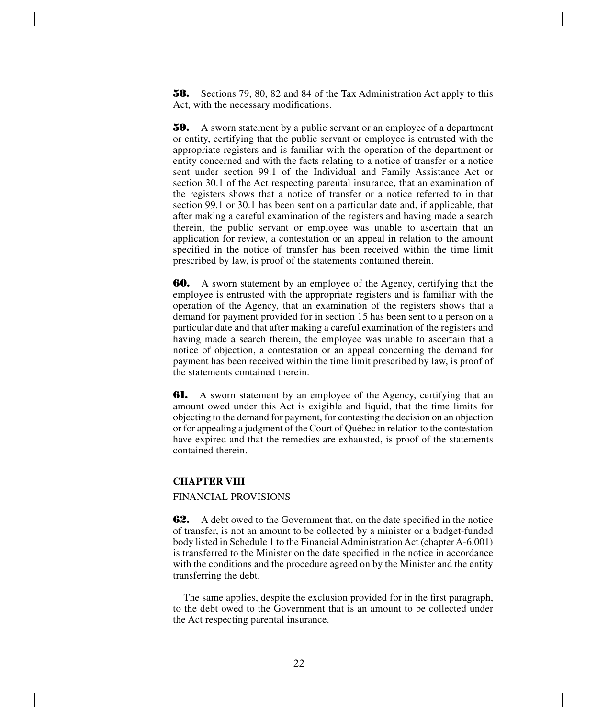**58.** Sections 79, 80, 82 and 84 of the Tax Administration Act apply to this Act, with the necessary modifications.

**59.** A sworn statement by a public servant or an employee of a department or entity, certifying that the public servant or employee is entrusted with the appropriate registers and is familiar with the operation of the department or entity concerned and with the facts relating to a notice of transfer or a notice sent under section 99.1 of the Individual and Family Assistance Act or section 30.1 of the Act respecting parental insurance, that an examination of the registers shows that a notice of transfer or a notice referred to in that section 99.1 or 30.1 has been sent on a particular date and, if applicable, that after making a careful examination of the registers and having made a search therein, the public servant or employee was unable to ascertain that an application for review, a contestation or an appeal in relation to the amount specified in the notice of transfer has been received within the time limit prescribed by law, is proof of the statements contained therein.

**60.** A sworn statement by an employee of the Agency, certifying that the employee is entrusted with the appropriate registers and is familiar with the operation of the Agency, that an examination of the registers shows that a demand for payment provided for in section 15 has been sent to a person on a particular date and that after making a careful examination of the registers and having made a search therein, the employee was unable to ascertain that a notice of objection, a contestation or an appeal concerning the demand for payment has been received within the time limit prescribed by law, is proof of the statements contained therein.

**61.** A sworn statement by an employee of the Agency, certifying that an amount owed under this Act is exigible and liquid, that the time limits for objecting to the demand for payment, for contesting the decision on an objection or for appealing a judgment of the Court of Québec in relation to the contestation have expired and that the remedies are exhausted, is proof of the statements contained therein.

# **CHAPTER VIII**

#### FINANCIAL PROVISIONS

**62.** A debt owed to the Government that, on the date specified in the notice of transfer, is not an amount to be collected by a minister or a budget-funded body listed in Schedule 1 to the Financial Administration Act (chapter A-6.001) is transferred to the Minister on the date specified in the notice in accordance with the conditions and the procedure agreed on by the Minister and the entity transferring the debt.

The same applies, despite the exclusion provided for in the first paragraph, to the debt owed to the Government that is an amount to be collected under the Act respecting parental insurance.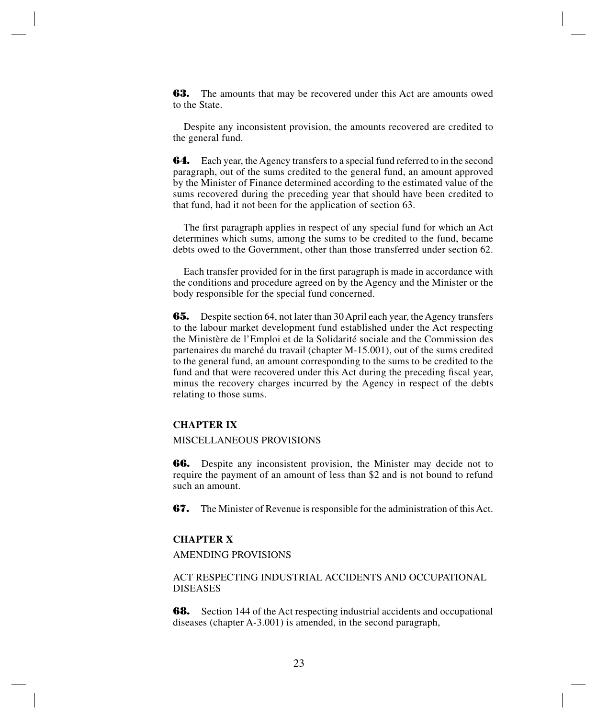**63.** The amounts that may be recovered under this Act are amounts owed to the State.

Despite any inconsistent provision, the amounts recovered are credited to the general fund.

**64.** Each year, the Agency transfers to a special fund referred to in the second paragraph, out of the sums credited to the general fund, an amount approved by the Minister of Finance determined according to the estimated value of the sums recovered during the preceding year that should have been credited to that fund, had it not been for the application of section 63.

The first paragraph applies in respect of any special fund for which an Act determines which sums, among the sums to be credited to the fund, became debts owed to the Government, other than those transferred under section 62.

Each transfer provided for in the first paragraph is made in accordance with the conditions and procedure agreed on by the Agency and the Minister or the body responsible for the special fund concerned.

**65.** Despite section 64, not later than 30 April each year, the Agency transfers to the labour market development fund established under the Act respecting the Ministère de l'Emploi et de la Solidarité sociale and the Commission des partenaires du marché du travail (chapter M-15.001), out of the sums credited to the general fund, an amount corresponding to the sums to be credited to the fund and that were recovered under this Act during the preceding fiscal year, minus the recovery charges incurred by the Agency in respect of the debts relating to those sums.

#### **CHAPTER IX**

#### MISCELLANEOUS PROVISIONS

**66.** Despite any inconsistent provision, the Minister may decide not to require the payment of an amount of less than \$2 and is not bound to refund such an amount.

**67.** The Minister of Revenue is responsible for the administration of this Act.

# **CHAPTER X**

# AMENDING PROVISIONS

# ACT RESPECTING INDUSTRIAL ACCIDENTS AND OCCUPATIONAL DISEASES

**68.** Section 144 of the Act respecting industrial accidents and occupational diseases (chapter A-3.001) is amended, in the second paragraph,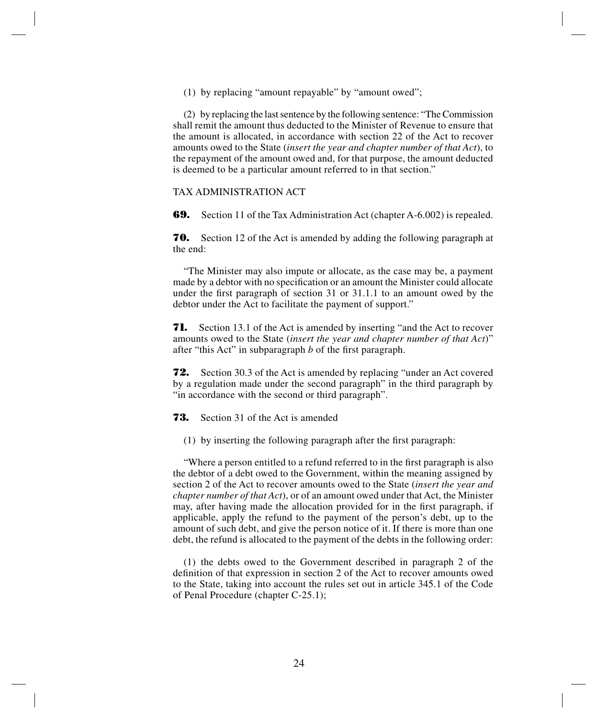(1) by replacing "amount repayable" by "amount owed";

(2) by replacing the last sentence by the following sentence: "The Commission shall remit the amount thus deducted to the Minister of Revenue to ensure that the amount is allocated, in accordance with section 22 of the Act to recover amounts owed to the State (*insert the year and chapter number of that Act*), to the repayment of the amount owed and, for that purpose, the amount deducted is deemed to be a particular amount referred to in that section."

# TAX ADMINISTRATION ACT

**69.** Section 11 of the Tax Administration Act (chapter A-6.002) is repealed.

**70.** Section 12 of the Act is amended by adding the following paragraph at the end:

"The Minister may also impute or allocate, as the case may be, a payment made by a debtor with no specification or an amount the Minister could allocate under the first paragraph of section 31 or 31.1.1 to an amount owed by the debtor under the Act to facilitate the payment of support."

**71.** Section 13.1 of the Act is amended by inserting "and the Act to recover amounts owed to the State (*insert the year and chapter number of that Act*)" after "this Act" in subparagraph *b* of the first paragraph.

**72.** Section 30.3 of the Act is amended by replacing "under an Act covered by a regulation made under the second paragraph" in the third paragraph by "in accordance with the second or third paragraph".

**73.** Section 31 of the Act is amended

(1) by inserting the following paragraph after the first paragraph:

"Where a person entitled to a refund referred to in the first paragraph is also the debtor of a debt owed to the Government, within the meaning assigned by section 2 of the Act to recover amounts owed to the State (*insert the year and chapter number of that Act*), or of an amount owed under that Act, the Minister may, after having made the allocation provided for in the first paragraph, if applicable, apply the refund to the payment of the person's debt, up to the amount of such debt, and give the person notice of it. If there is more than one debt, the refund is allocated to the payment of the debts in the following order:

(1) the debts owed to the Government described in paragraph 2 of the definition of that expression in section 2 of the Act to recover amounts owed to the State, taking into account the rules set out in article 345.1 of the Code of Penal Procedure (chapter C-25.1);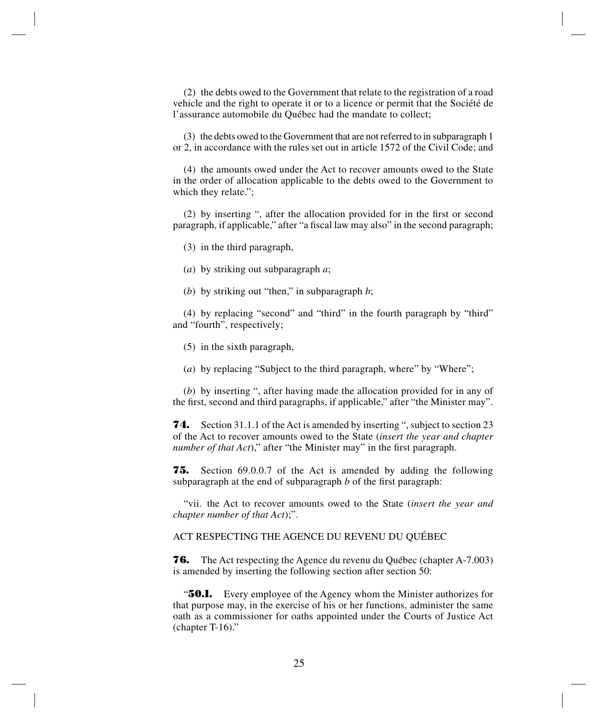(2) the debts owed to the Government that relate to the registration of a road vehicle and the right to operate it or to a licence or permit that the Société de l'assurance automobile du Québec had the mandate to collect;

(3) the debts owed to the Government that are not referred to in subparagraph 1 or 2, in accordance with the rules set out in article 1572 of the Civil Code; and

(4) the amounts owed under the Act to recover amounts owed to the State in the order of allocation applicable to the debts owed to the Government to which they relate.";

(2) by inserting ", after the allocation provided for in the first or second paragraph, if applicable," after "a fiscal law may also" in the second paragraph;

(3) in the third paragraph,

(*a*) by striking out subparagraph *a*;

(*b*) by striking out "then," in subparagraph *b*;

(4) by replacing "second" and "third" in the fourth paragraph by "third" and "fourth", respectively;

(5) in the sixth paragraph,

(*a*) by replacing "Subject to the third paragraph, where" by "Where";

(*b*) by inserting ", after having made the allocation provided for in any of the first, second and third paragraphs, if applicable," after "the Minister may".

**74.** Section 31.1.1 of the Act is amended by inserting ", subject to section 23 of the Act to recover amounts owed to the State (*insert the year and chapter number of that Act*)," after "the Minister may" in the first paragraph.

**75.** Section 69.0.0.7 of the Act is amended by adding the following subparagraph at the end of subparagraph *b* of the first paragraph:

"vii. the Act to recover amounts owed to the State (*insert the year and chapter number of that Act*);".

ACT RESPECTING THE AGENCE DU REVENU DU QUÉBEC

**76.** The Act respecting the Agence du revenu du Québec (chapter A-7.003) is amended by inserting the following section after section 50:

**"50.1.** Every employee of the Agency whom the Minister authorizes for that purpose may, in the exercise of his or her functions, administer the same oath as a commissioner for oaths appointed under the Courts of Justice Act (chapter T-16)."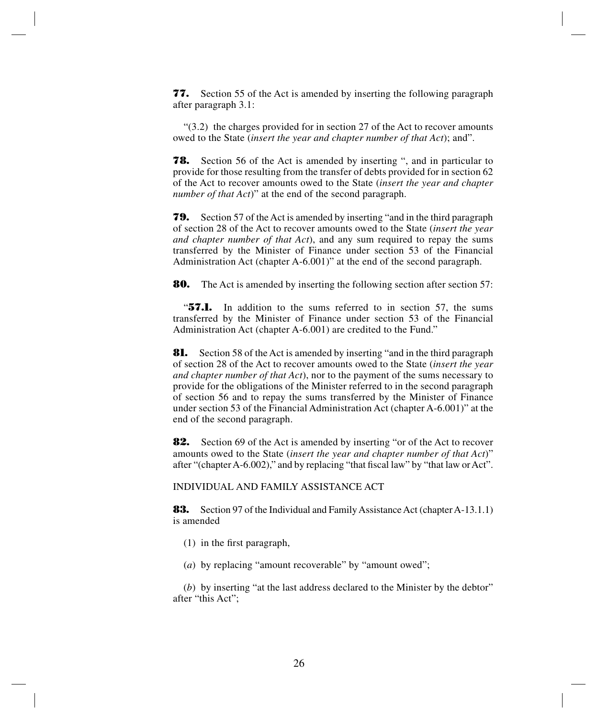**77.** Section 55 of the Act is amended by inserting the following paragraph after paragraph 3.1:

 $(3.2)$  the charges provided for in section 27 of the Act to recover amounts owed to the State (*insert the year and chapter number of that Act*); and".

**78.** Section 56 of the Act is amended by inserting ", and in particular to provide for those resulting from the transfer of debts provided for in section 62 of the Act to recover amounts owed to the State (*insert the year and chapter number of that Act*)" at the end of the second paragraph.

**79.** Section 57 of the Act is amended by inserting "and in the third paragraph of section 28 of the Act to recover amounts owed to the State (*insert the year and chapter number of that Act*), and any sum required to repay the sums transferred by the Minister of Finance under section 53 of the Financial Administration Act (chapter A-6.001)" at the end of the second paragraph.

**80.** The Act is amended by inserting the following section after section 57:

"**57.1.** In addition to the sums referred to in section 57, the sums transferred by the Minister of Finance under section 53 of the Financial Administration Act (chapter A-6.001) are credited to the Fund."

**81.** Section 58 of the Act is amended by inserting "and in the third paragraph of section 28 of the Act to recover amounts owed to the State (*insert the year and chapter number of that Act*), nor to the payment of the sums necessary to provide for the obligations of the Minister referred to in the second paragraph of section 56 and to repay the sums transferred by the Minister of Finance under section 53 of the Financial Administration Act (chapter A-6.001)" at the end of the second paragraph.

**82.** Section 69 of the Act is amended by inserting "or of the Act to recover amounts owed to the State (*insert the year and chapter number of that Act*)" after "(chapter A-6.002)," and by replacing "that fiscal law" by "that law orAct".

INDIVIDUAL AND FAMILY ASSISTANCE ACT

**83.** Section 97 of the Individual and Family Assistance Act (chapter A-13.1.1) is amended

- (1) in the first paragraph,
- (*a*) by replacing "amount recoverable" by "amount owed";

(*b*) by inserting "at the last address declared to the Minister by the debtor" after "this Act";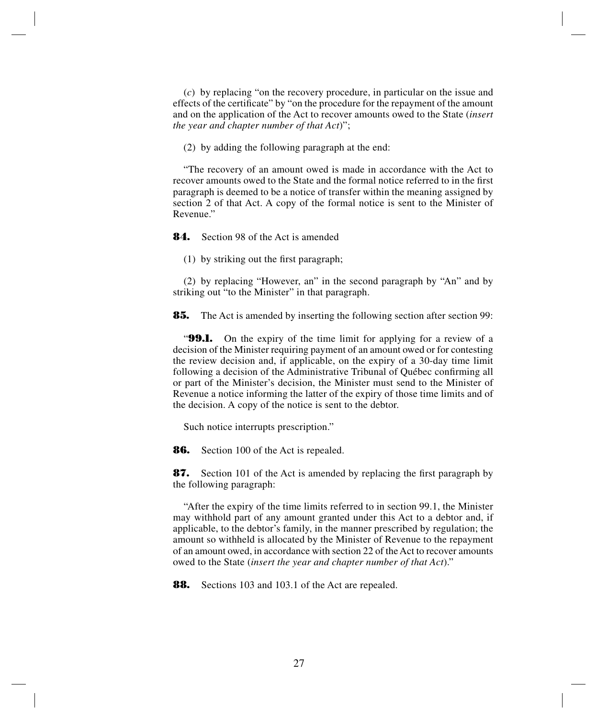(*c*) by replacing "on the recovery procedure, in particular on the issue and effects of the certificate" by "on the procedure for the repayment of the amount and on the application of the Act to recover amounts owed to the State (*insert the year and chapter number of that Act*)";

(2) by adding the following paragraph at the end:

"The recovery of an amount owed is made in accordance with the Act to recover amounts owed to the State and the formal notice referred to in the first paragraph is deemed to be a notice of transfer within the meaning assigned by section 2 of that Act. A copy of the formal notice is sent to the Minister of Revenue."

**84.** Section 98 of the Act is amended

(1) by striking out the first paragraph;

(2) by replacing "However, an" in the second paragraph by "An" and by striking out "to the Minister" in that paragraph.

**85.** The Act is amended by inserting the following section after section 99:

"**99.1.** On the expiry of the time limit for applying for a review of a decision of the Minister requiring payment of an amount owed or for contesting the review decision and, if applicable, on the expiry of a 30-day time limit following a decision of the Administrative Tribunal of Québec confirming all or part of the Minister's decision, the Minister must send to the Minister of Revenue a notice informing the latter of the expiry of those time limits and of the decision. A copy of the notice is sent to the debtor.

Such notice interrupts prescription."

**86.** Section 100 of the Act is repealed.

**87.** Section 101 of the Act is amended by replacing the first paragraph by the following paragraph:

"After the expiry of the time limits referred to in section 99.1, the Minister may withhold part of any amount granted under this Act to a debtor and, if applicable, to the debtor's family, in the manner prescribed by regulation; the amount so withheld is allocated by the Minister of Revenue to the repayment of an amount owed, in accordance with section 22 of the Act to recover amounts owed to the State (*insert the year and chapter number of that Act*)."

**88.** Sections 103 and 103.1 of the Act are repealed.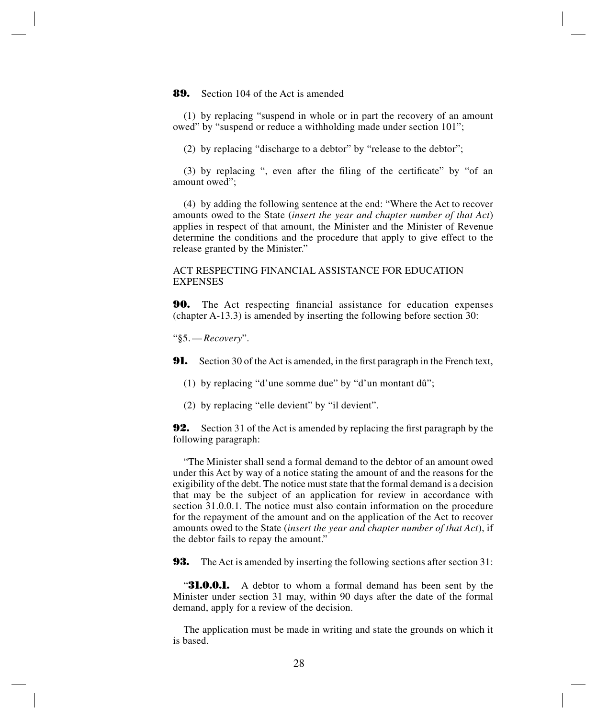#### **89.** Section 104 of the Act is amended

(1) by replacing "suspend in whole or in part the recovery of an amount owed" by "suspend or reduce a withholding made under section 101";

(2) by replacing "discharge to a debtor" by "release to the debtor";

(3) by replacing ", even after the filing of the certificate" by "of an amount owed";

(4) by adding the following sentence at the end: "Where the Act to recover amounts owed to the State (*insert the year and chapter number of that Act*) applies in respect of that amount, the Minister and the Minister of Revenue determine the conditions and the procedure that apply to give effect to the release granted by the Minister."

## ACT RESPECTING FINANCIAL ASSISTANCE FOR EDUCATION EXPENSES

**90.** The Act respecting financial assistance for education expenses (chapter A-13.3) is amended by inserting the following before section 30:

"§5.—*Recovery*".

**91.** Section 30 of the Act is amended, in the first paragraph in the French text,

(1) by replacing "d'une somme due" by "d'un montant dû";

(2) by replacing "elle devient" by "il devient".

**92.** Section 31 of the Act is amended by replacing the first paragraph by the following paragraph:

"The Minister shall send a formal demand to the debtor of an amount owed under this Act by way of a notice stating the amount of and the reasons for the exigibility of the debt. The notice must state that the formal demand is a decision that may be the subject of an application for review in accordance with section 31.0.0.1. The notice must also contain information on the procedure for the repayment of the amount and on the application of the Act to recover amounts owed to the State (*insert the year and chapter number of that Act*), if the debtor fails to repay the amount."

**93.** The Act is amended by inserting the following sections after section 31:

"**31.0.0.1.** A debtor to whom a formal demand has been sent by the Minister under section 31 may, within 90 days after the date of the formal demand, apply for a review of the decision.

The application must be made in writing and state the grounds on which it is based.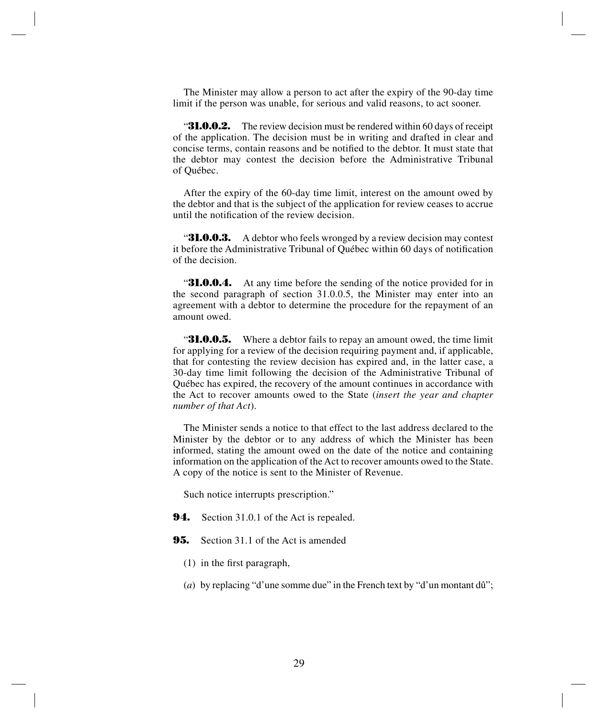The Minister may allow a person to act after the expiry of the 90-day time limit if the person was unable, for serious and valid reasons, to act sooner.

**31.0.0.2.** The review decision must be rendered within 60 days of receipt of the application. The decision must be in writing and drafted in clear and concise terms, contain reasons and be notified to the debtor. It must state that the debtor may contest the decision before the Administrative Tribunal of Québec.

After the expiry of the 60-day time limit, interest on the amount owed by the debtor and that is the subject of the application for review ceases to accrue until the notification of the review decision.

**31.0.0.3.** A debtor who feels wronged by a review decision may contest it before the Administrative Tribunal of Québec within 60 days of notification of the decision.

**31.0.0.4.** At any time before the sending of the notice provided for in the second paragraph of section 31.0.0.5, the Minister may enter into an agreement with a debtor to determine the procedure for the repayment of an amount owed.

**31.0.0.5.** Where a debtor fails to repay an amount owed, the time limit for applying for a review of the decision requiring payment and, if applicable, that for contesting the review decision has expired and, in the latter case, a 30-day time limit following the decision of the Administrative Tribunal of Québec has expired, the recovery of the amount continues in accordance with the Act to recover amounts owed to the State (*insert the year and chapter number of that Act*).

The Minister sends a notice to that effect to the last address declared to the Minister by the debtor or to any address of which the Minister has been informed, stating the amount owed on the date of the notice and containing information on the application of the Act to recover amounts owed to the State. A copy of the notice is sent to the Minister of Revenue.

Such notice interrupts prescription."

- **94.** Section 31.0.1 of the Act is repealed.
- **95.** Section 31.1 of the Act is amended
	- (1) in the first paragraph,
	- (*a*) by replacing "d'une somme due" in the French text by "d'un montant dû";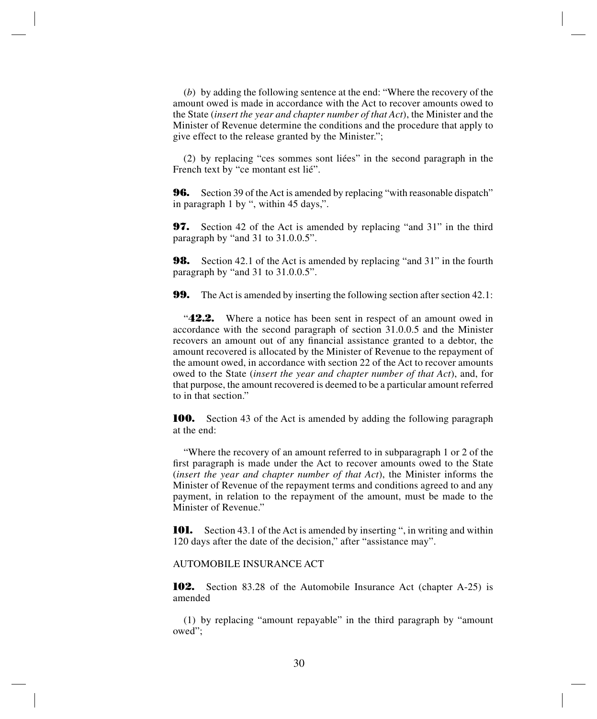(*b*) by adding the following sentence at the end: "Where the recovery of the amount owed is made in accordance with the Act to recover amounts owed to the State (*insert the year and chapter number of that Act*), the Minister and the Minister of Revenue determine the conditions and the procedure that apply to give effect to the release granted by the Minister.";

(2) by replacing "ces sommes sont liées" in the second paragraph in the French text by "ce montant est lié".

**96.** Section 39 of the Act is amended by replacing "with reasonable dispatch" in paragraph 1 by ", within 45 days,".

**97.** Section 42 of the Act is amended by replacing "and 31" in the third paragraph by "and 31 to 31.0.0.5".

**98.** Section 42.1 of the Act is amended by replacing "and 31" in the fourth paragraph by "and 31 to 31.0.0.5".

**99.** The Act is amended by inserting the following section after section 42.1:

"**42.2.** Where a notice has been sent in respect of an amount owed in accordance with the second paragraph of section 31.0.0.5 and the Minister recovers an amount out of any financial assistance granted to a debtor, the amount recovered is allocated by the Minister of Revenue to the repayment of the amount owed, in accordance with section 22 of the Act to recover amounts owed to the State (*insert the year and chapter number of that Act*), and, for that purpose, the amount recovered is deemed to be a particular amount referred to in that section."

**100.** Section 43 of the Act is amended by adding the following paragraph at the end:

"Where the recovery of an amount referred to in subparagraph 1 or 2 of the first paragraph is made under the Act to recover amounts owed to the State (*insert the year and chapter number of that Act*), the Minister informs the Minister of Revenue of the repayment terms and conditions agreed to and any payment, in relation to the repayment of the amount, must be made to the Minister of Revenue."

**101.** Section 43.1 of the Act is amended by inserting ", in writing and within 120 days after the date of the decision," after "assistance may".

#### AUTOMOBILE INSURANCE ACT

**102.** Section 83.28 of the Automobile Insurance Act (chapter A-25) is amended

(1) by replacing "amount repayable" in the third paragraph by "amount owed";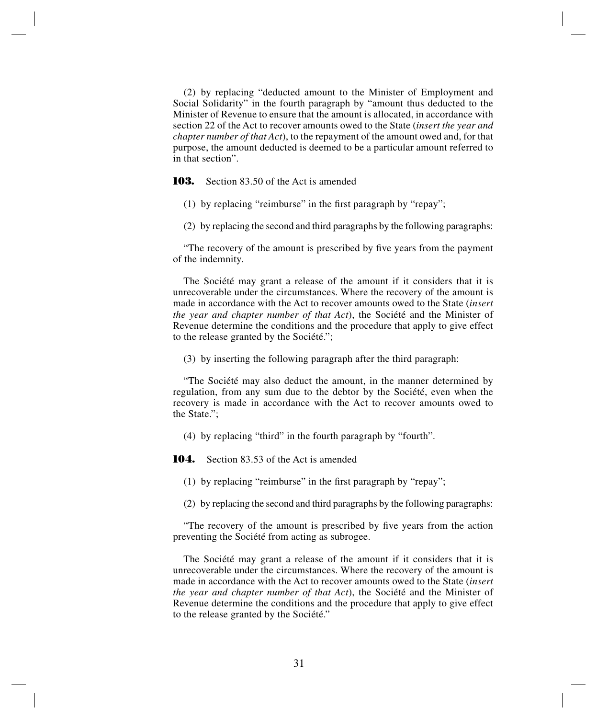(2) by replacing "deducted amount to the Minister of Employment and Social Solidarity" in the fourth paragraph by "amount thus deducted to the Minister of Revenue to ensure that the amount is allocated, in accordance with section 22 of the Act to recover amounts owed to the State (*insert the year and chapter number of that Act*), to the repayment of the amount owed and, for that purpose, the amount deducted is deemed to be a particular amount referred to in that section".

**103.** Section 83.50 of the Act is amended

(1) by replacing "reimburse" in the first paragraph by "repay";

(2) by replacing the second and third paragraphs by the following paragraphs:

"The recovery of the amount is prescribed by five years from the payment of the indemnity.

The Société may grant a release of the amount if it considers that it is unrecoverable under the circumstances. Where the recovery of the amount is made in accordance with the Act to recover amounts owed to the State (*insert the year and chapter number of that Act*), the Société and the Minister of Revenue determine the conditions and the procedure that apply to give effect to the release granted by the Société.";

(3) by inserting the following paragraph after the third paragraph:

"The Société may also deduct the amount, in the manner determined by regulation, from any sum due to the debtor by the Société, even when the recovery is made in accordance with the Act to recover amounts owed to the State.";

(4) by replacing "third" in the fourth paragraph by "fourth".

**104.** Section 83.53 of the Act is amended

(1) by replacing "reimburse" in the first paragraph by "repay";

(2) by replacing the second and third paragraphs by the following paragraphs:

"The recovery of the amount is prescribed by five years from the action preventing the Société from acting as subrogee.

The Société may grant a release of the amount if it considers that it is unrecoverable under the circumstances. Where the recovery of the amount is made in accordance with the Act to recover amounts owed to the State (*insert the year and chapter number of that Act*), the Société and the Minister of Revenue determine the conditions and the procedure that apply to give effect to the release granted by the Société."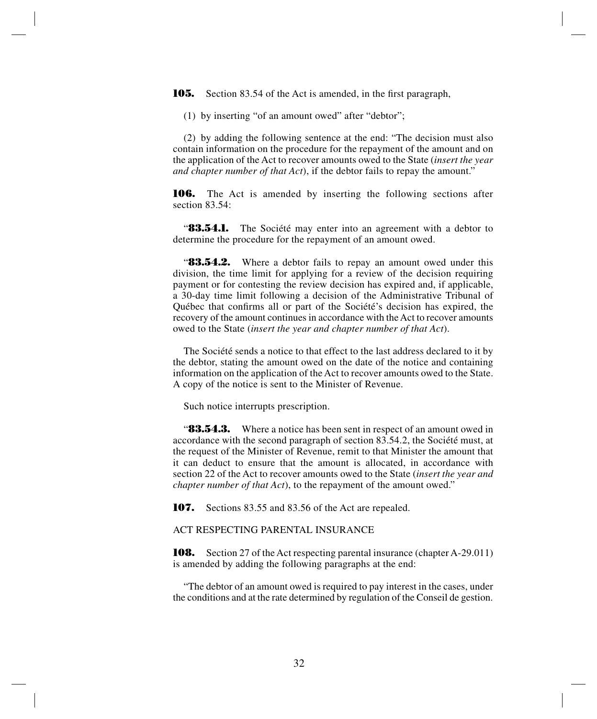**105.** Section 83.54 of the Act is amended, in the first paragraph,

(1) by inserting "of an amount owed" after "debtor";

(2) by adding the following sentence at the end: "The decision must also contain information on the procedure for the repayment of the amount and on the application of the Act to recover amounts owed to the State (*insert the year and chapter number of that Act*), if the debtor fails to repay the amount."

**106.** The Act is amended by inserting the following sections after section 83.54:

**83.54.1.** The Société may enter into an agreement with a debtor to determine the procedure for the repayment of an amount owed.

"**83.54.2.** Where a debtor fails to repay an amount owed under this division, the time limit for applying for a review of the decision requiring payment or for contesting the review decision has expired and, if applicable, a 30-day time limit following a decision of the Administrative Tribunal of Québec that confirms all or part of the Société's decision has expired, the recovery of the amount continues in accordance with the Act to recover amounts owed to the State (*insert the year and chapter number of that Act*).

The Société sends a notice to that effect to the last address declared to it by the debtor, stating the amount owed on the date of the notice and containing information on the application of the Act to recover amounts owed to the State. A copy of the notice is sent to the Minister of Revenue.

Such notice interrupts prescription.

"**83.54.3.** Where a notice has been sent in respect of an amount owed in accordance with the second paragraph of section 83.54.2, the Société must, at the request of the Minister of Revenue, remit to that Minister the amount that it can deduct to ensure that the amount is allocated, in accordance with section 22 of the Act to recover amounts owed to the State (*insert the year and chapter number of that Act*), to the repayment of the amount owed."

**107.** Sections 83.55 and 83.56 of the Act are repealed.

ACT RESPECTING PARENTAL INSURANCE

**108.** Section 27 of the Act respecting parental insurance (chapter A-29.011) is amended by adding the following paragraphs at the end:

"The debtor of an amount owed is required to pay interest in the cases, under the conditions and at the rate determined by regulation of the Conseil de gestion.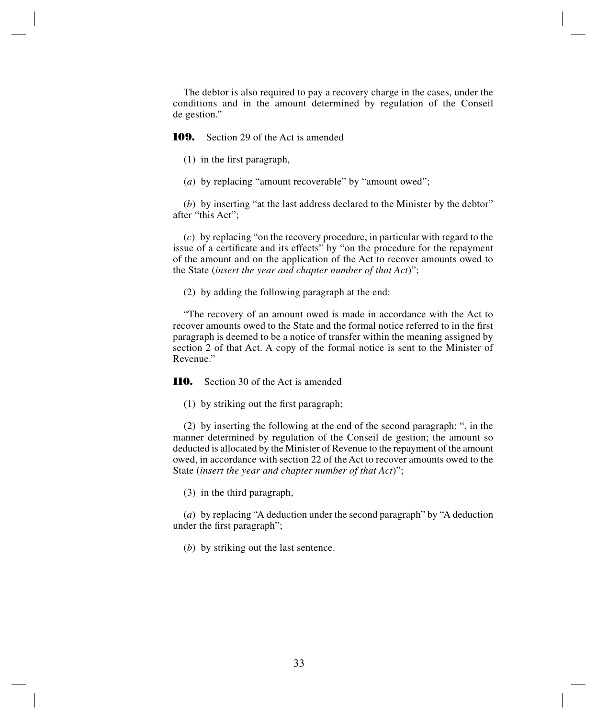The debtor is also required to pay a recovery charge in the cases, under the conditions and in the amount determined by regulation of the Conseil de gestion."

**109.** Section 29 of the Act is amended

(1) in the first paragraph,

(*a*) by replacing "amount recoverable" by "amount owed";

(*b*) by inserting "at the last address declared to the Minister by the debtor" after "this Act";

(*c*) by replacing "on the recovery procedure, in particular with regard to the issue of a certificate and its effects" by "on the procedure for the repayment of the amount and on the application of the Act to recover amounts owed to the State (*insert the year and chapter number of that Act*)";

(2) by adding the following paragraph at the end:

"The recovery of an amount owed is made in accordance with the Act to recover amounts owed to the State and the formal notice referred to in the first paragraph is deemed to be a notice of transfer within the meaning assigned by section 2 of that Act. A copy of the formal notice is sent to the Minister of Revenue."

**110.** Section 30 of the Act is amended

(1) by striking out the first paragraph;

(2) by inserting the following at the end of the second paragraph: ", in the manner determined by regulation of the Conseil de gestion; the amount so deducted is allocated by the Minister of Revenue to the repayment of the amount owed, in accordance with section 22 of the Act to recover amounts owed to the State (*insert the year and chapter number of that Act*)";

(3) in the third paragraph,

(*a*) by replacing "A deduction under the second paragraph" by "A deduction under the first paragraph";

(*b*) by striking out the last sentence.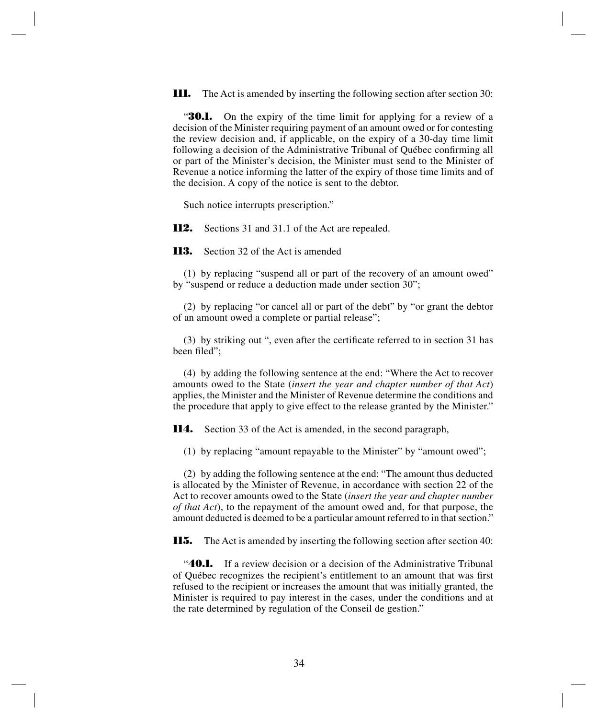**111.** The Act is amended by inserting the following section after section 30:

**30.1.** On the expiry of the time limit for applying for a review of a decision of the Minister requiring payment of an amount owed or for contesting the review decision and, if applicable, on the expiry of a 30-day time limit following a decision of the Administrative Tribunal of Québec confirming all or part of the Minister's decision, the Minister must send to the Minister of Revenue a notice informing the latter of the expiry of those time limits and of the decision. A copy of the notice is sent to the debtor.

Such notice interrupts prescription."

**112.** Sections 31 and 31.1 of the Act are repealed.

**113.** Section 32 of the Act is amended

(1) by replacing "suspend all or part of the recovery of an amount owed" by "suspend or reduce a deduction made under section 30";

(2) by replacing "or cancel all or part of the debt" by "or grant the debtor of an amount owed a complete or partial release";

(3) by striking out ", even after the certificate referred to in section 31 has been filed";

(4) by adding the following sentence at the end: "Where the Act to recover amounts owed to the State (*insert the year and chapter number of that Act*) applies, the Minister and the Minister of Revenue determine the conditions and the procedure that apply to give effect to the release granted by the Minister."

**114.** Section 33 of the Act is amended, in the second paragraph,

(1) by replacing "amount repayable to the Minister" by "amount owed";

(2) by adding the following sentence at the end: "The amount thus deducted is allocated by the Minister of Revenue, in accordance with section 22 of the Act to recover amounts owed to the State (*insert the year and chapter number of that Act*), to the repayment of the amount owed and, for that purpose, the amount deducted is deemed to be a particular amount referred to in that section."

**115.** The Act is amended by inserting the following section after section 40:

"**40.1.** If a review decision or a decision of the Administrative Tribunal of Québec recognizes the recipient's entitlement to an amount that was first refused to the recipient or increases the amount that was initially granted, the Minister is required to pay interest in the cases, under the conditions and at the rate determined by regulation of the Conseil de gestion."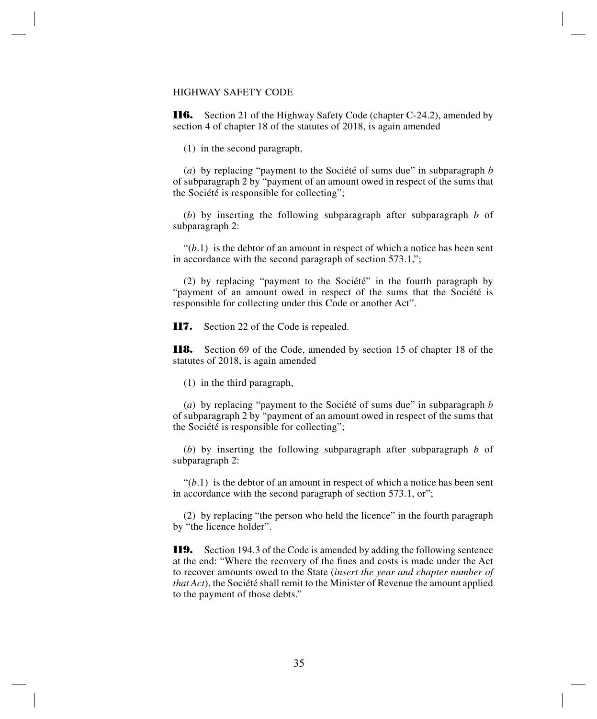# HIGHWAY SAFETY CODE

**116.** Section 21 of the Highway Safety Code (chapter C-24.2), amended by section 4 of chapter 18 of the statutes of 2018, is again amended

(1) in the second paragraph,

(*a*) by replacing "payment to the Société of sums due" in subparagraph *b* of subparagraph 2 by "payment of an amount owed in respect of the sums that the Société is responsible for collecting";

(*b*) by inserting the following subparagraph after subparagraph *b* of subparagraph 2:

 $\mathcal{L}(b.1)$  is the debtor of an amount in respect of which a notice has been sent in accordance with the second paragraph of section 573.1,";

(2) by replacing "payment to the Société" in the fourth paragraph by "payment of an amount owed in respect of the sums that the Société is responsible for collecting under this Code or another Act".

**117.** Section 22 of the Code is repealed.

**118.** Section 69 of the Code, amended by section 15 of chapter 18 of the statutes of 2018, is again amended

(1) in the third paragraph,

(*a*) by replacing "payment to the Société of sums due" in subparagraph *b* of subparagraph 2 by "payment of an amount owed in respect of the sums that the Société is responsible for collecting";

(*b*) by inserting the following subparagraph after subparagraph *b* of subparagraph 2:

 $\mathcal{L}(b.1)$  is the debtor of an amount in respect of which a notice has been sent in accordance with the second paragraph of section 573.1, or";

(2) by replacing "the person who held the licence" in the fourth paragraph by "the licence holder".

**119.** Section 194.3 of the Code is amended by adding the following sentence at the end: "Where the recovery of the fines and costs is made under the Act to recover amounts owed to the State (*insert the year and chapter number of that Act*), the Société shall remit to the Minister of Revenue the amount applied to the payment of those debts."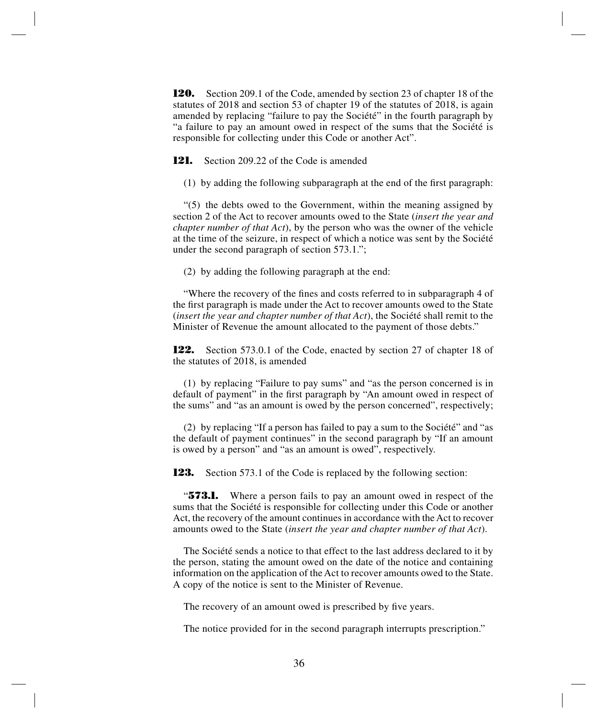**120.** Section 209.1 of the Code, amended by section 23 of chapter 18 of the statutes of 2018 and section 53 of chapter 19 of the statutes of 2018, is again amended by replacing "failure to pay the Société" in the fourth paragraph by "a failure to pay an amount owed in respect of the sums that the Société is responsible for collecting under this Code or another Act".

**121.** Section 209.22 of the Code is amended

(1) by adding the following subparagraph at the end of the first paragraph:

"(5) the debts owed to the Government, within the meaning assigned by section 2 of the Act to recover amounts owed to the State (*insert the year and chapter number of that Act*), by the person who was the owner of the vehicle at the time of the seizure, in respect of which a notice was sent by the Société under the second paragraph of section 573.1.";

(2) by adding the following paragraph at the end:

"Where the recovery of the fines and costs referred to in subparagraph 4 of the first paragraph is made under the Act to recover amounts owed to the State (*insert the year and chapter number of that Act*), the Société shall remit to the Minister of Revenue the amount allocated to the payment of those debts."

**122.** Section 573.0.1 of the Code, enacted by section 27 of chapter 18 of the statutes of 2018, is amended

(1) by replacing "Failure to pay sums" and "as the person concerned is in default of payment" in the first paragraph by "An amount owed in respect of the sums" and "as an amount is owed by the person concerned", respectively;

(2) by replacing "If a person has failed to pay a sum to the Société" and "as the default of payment continues" in the second paragraph by "If an amount is owed by a person" and "as an amount is owed", respectively.

**123.** Section 573.1 of the Code is replaced by the following section:

"**573.1.** Where a person fails to pay an amount owed in respect of the sums that the Société is responsible for collecting under this Code or another Act, the recovery of the amount continues in accordance with the Act to recover amounts owed to the State (*insert the year and chapter number of that Act*).

The Société sends a notice to that effect to the last address declared to it by the person, stating the amount owed on the date of the notice and containing information on the application of the Act to recover amounts owed to the State. A copy of the notice is sent to the Minister of Revenue.

The recovery of an amount owed is prescribed by five years.

The notice provided for in the second paragraph interrupts prescription."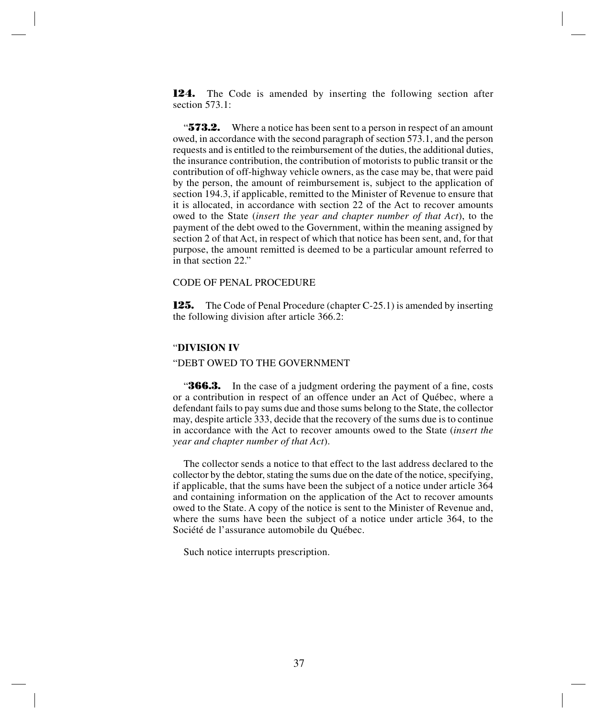**124.** The Code is amended by inserting the following section after section 573.1<sup>-1</sup>

"**573.2.** Where a notice has been sent to a person in respect of an amount owed, in accordance with the second paragraph of section 573.1, and the person requests and is entitled to the reimbursement of the duties, the additional duties, the insurance contribution, the contribution of motorists to public transit or the contribution of off-highway vehicle owners, as the case may be, that were paid by the person, the amount of reimbursement is, subject to the application of section 194.3, if applicable, remitted to the Minister of Revenue to ensure that it is allocated, in accordance with section 22 of the Act to recover amounts owed to the State (*insert the year and chapter number of that Act*), to the payment of the debt owed to the Government, within the meaning assigned by section 2 of that Act, in respect of which that notice has been sent, and, for that purpose, the amount remitted is deemed to be a particular amount referred to in that section 22."

#### CODE OF PENAL PROCEDURE

**125.** The Code of Penal Procedure (chapter C-25.1) is amended by inserting the following division after article 366.2:

#### "**DIVISION IV**

# "DEBT OWED TO THE GOVERNMENT

**366.3.** In the case of a judgment ordering the payment of a fine, costs or a contribution in respect of an offence under an Act of Québec, where a defendant fails to pay sums due and those sums belong to the State, the collector may, despite article 333, decide that the recovery of the sums due is to continue in accordance with the Act to recover amounts owed to the State (*insert the year and chapter number of that Act*).

The collector sends a notice to that effect to the last address declared to the collector by the debtor, stating the sums due on the date of the notice, specifying, if applicable, that the sums have been the subject of a notice under article 364 and containing information on the application of the Act to recover amounts owed to the State. A copy of the notice is sent to the Minister of Revenue and, where the sums have been the subject of a notice under article 364, to the Société de l'assurance automobile du Québec.

Such notice interrupts prescription.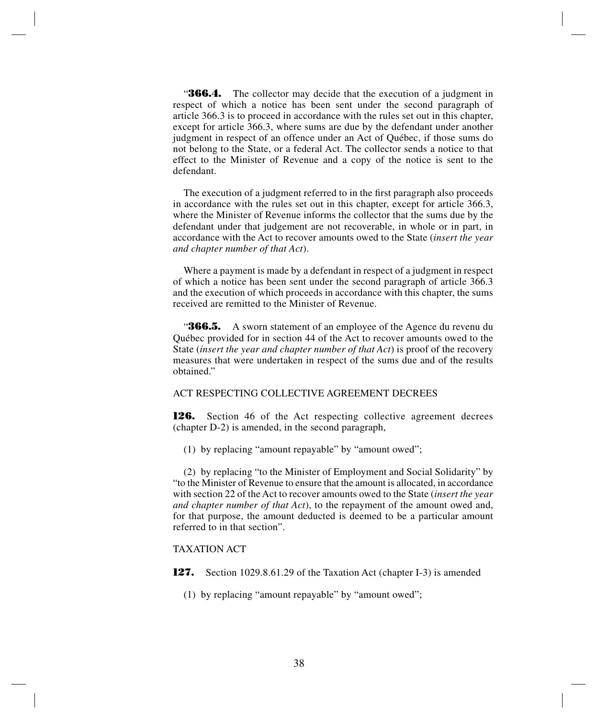**366.4.** The collector may decide that the execution of a judgment in respect of which a notice has been sent under the second paragraph of article 366.3 is to proceed in accordance with the rules set out in this chapter, except for article 366.3, where sums are due by the defendant under another judgment in respect of an offence under an Act of Québec, if those sums do not belong to the State, or a federal Act. The collector sends a notice to that effect to the Minister of Revenue and a copy of the notice is sent to the defendant.

The execution of a judgment referred to in the first paragraph also proceeds in accordance with the rules set out in this chapter, except for article 366.3, where the Minister of Revenue informs the collector that the sums due by the defendant under that judgement are not recoverable, in whole or in part, in accordance with the Act to recover amounts owed to the State (*insert the year and chapter number of that Act*).

Where a payment is made by a defendant in respect of a judgment in respect of which a notice has been sent under the second paragraph of article 366.3 and the execution of which proceeds in accordance with this chapter, the sums received are remitted to the Minister of Revenue.

**366.5.** A sworn statement of an employee of the Agence du revenu du Québec provided for in section 44 of the Act to recover amounts owed to the State (*insert the year and chapter number of that Act*) is proof of the recovery measures that were undertaken in respect of the sums due and of the results obtained."

# ACT RESPECTING COLLECTIVE AGREEMENT DECREES

**126.** Section 46 of the Act respecting collective agreement decrees (chapter D-2) is amended, in the second paragraph,

(1) by replacing "amount repayable" by "amount owed";

(2) by replacing "to the Minister of Employment and Social Solidarity" by "to the Minister of Revenue to ensure that the amount is allocated, in accordance with section 22 of the Act to recover amounts owed to the State (*insert the year and chapter number of that Act*), to the repayment of the amount owed and, for that purpose, the amount deducted is deemed to be a particular amount referred to in that section".

# TAXATION ACT

**127.** Section 1029.8.61.29 of the Taxation Act (chapter I-3) is amended

(1) by replacing "amount repayable" by "amount owed";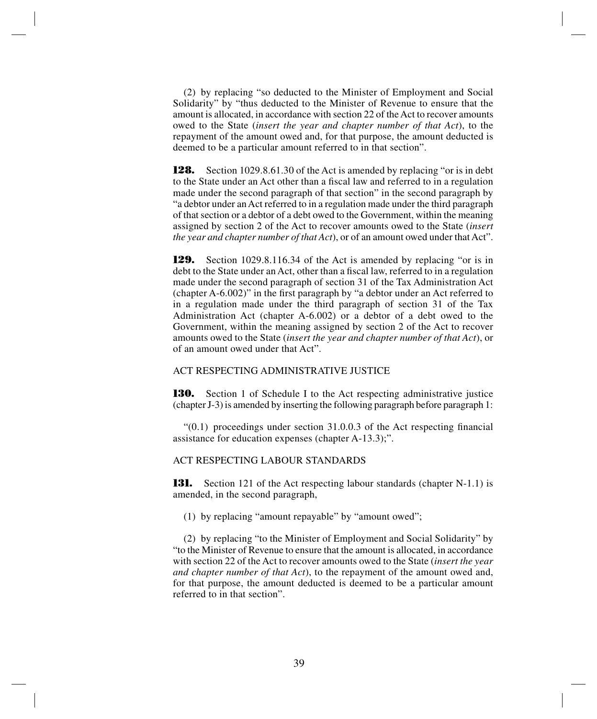(2) by replacing "so deducted to the Minister of Employment and Social Solidarity" by "thus deducted to the Minister of Revenue to ensure that the amount is allocated, in accordance with section 22 of the Act to recover amounts owed to the State (*insert the year and chapter number of that Act*), to the repayment of the amount owed and, for that purpose, the amount deducted is deemed to be a particular amount referred to in that section".

**128.** Section 1029.8.61.30 of the Act is amended by replacing "or is in debt to the State under an Act other than a fiscal law and referred to in a regulation made under the second paragraph of that section" in the second paragraph by "a debtor under an Act referred to in a regulation made under the third paragraph of that section or a debtor of a debt owed to the Government, within the meaning assigned by section 2 of the Act to recover amounts owed to the State (*insert the year and chapter number of that Act*), or of an amount owed under that Act".

**129.** Section 1029.8.116.34 of the Act is amended by replacing "or is in debt to the State under an Act, other than a fiscal law, referred to in a regulation made under the second paragraph of section 31 of the Tax Administration Act (chapter A-6.002)" in the first paragraph by "a debtor under an Act referred to in a regulation made under the third paragraph of section 31 of the Tax Administration Act (chapter A-6.002) or a debtor of a debt owed to the Government, within the meaning assigned by section 2 of the Act to recover amounts owed to the State (*insert the year and chapter number of that Act*), or of an amount owed under that Act".

# ACT RESPECTING ADMINISTRATIVE JUSTICE

**130.** Section 1 of Schedule I to the Act respecting administrative justice (chapter J-3) is amended by inserting the following paragraph before paragraph 1:

 $(0.1)$  proceedings under section 31.0.0.3 of the Act respecting financial assistance for education expenses (chapter A-13.3);".

# ACT RESPECTING LABOUR STANDARDS

**131.** Section 121 of the Act respecting labour standards (chapter N-1.1) is amended, in the second paragraph,

(1) by replacing "amount repayable" by "amount owed";

(2) by replacing "to the Minister of Employment and Social Solidarity" by "to the Minister of Revenue to ensure that the amount is allocated, in accordance with section 22 of the Act to recover amounts owed to the State (*insert the year and chapter number of that Act*), to the repayment of the amount owed and, for that purpose, the amount deducted is deemed to be a particular amount referred to in that section".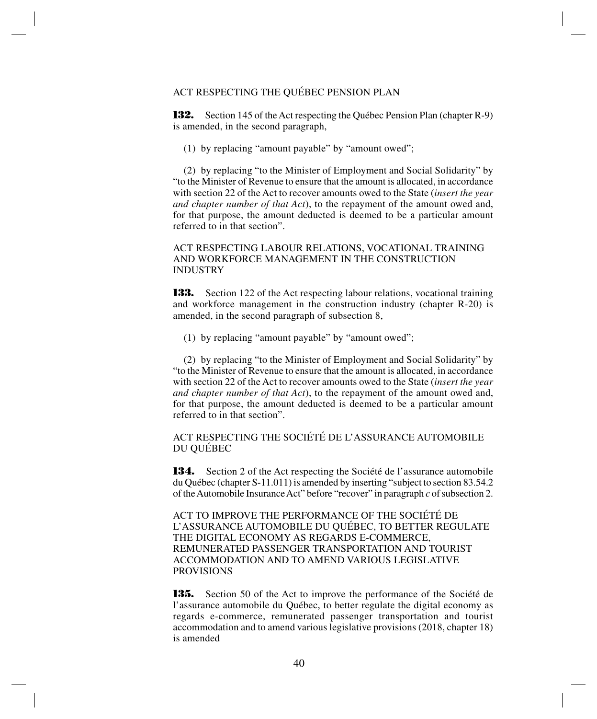# ACT RESPECTING THE QUÉBEC PENSION PLAN

**132.** Section 145 of the Act respecting the Québec Pension Plan (chapter R-9) is amended, in the second paragraph,

(1) by replacing "amount payable" by "amount owed";

(2) by replacing "to the Minister of Employment and Social Solidarity" by "to the Minister of Revenue to ensure that the amount is allocated, in accordance with section 22 of the Act to recover amounts owed to the State (*insert the year and chapter number of that Act*), to the repayment of the amount owed and, for that purpose, the amount deducted is deemed to be a particular amount referred to in that section".

# ACT RESPECTING LABOUR RELATIONS, VOCATIONAL TRAINING AND WORKFORCE MANAGEMENT IN THE CONSTRUCTION INDUSTRY

**133.** Section 122 of the Act respecting labour relations, vocational training and workforce management in the construction industry (chapter R-20) is amended, in the second paragraph of subsection 8,

(1) by replacing "amount payable" by "amount owed";

(2) by replacing "to the Minister of Employment and Social Solidarity" by "to the Minister of Revenue to ensure that the amount is allocated, in accordance with section 22 of the Act to recover amounts owed to the State (*insert the year and chapter number of that Act*), to the repayment of the amount owed and, for that purpose, the amount deducted is deemed to be a particular amount referred to in that section".

ACT RESPECTING THE SOCIÉTÉ DE L'ASSURANCE AUTOMOBILE DU QUÉBEC

**134.** Section 2 of the Act respecting the Société de l'assurance automobile du Québec (chapter S-11.011) is amended by inserting "subject to section 83.54.2 of the Automobile Insurance Act" before "recover" in paragraph *c* of subsection 2.

ACT TO IMPROVE THE PERFORMANCE OF THE SOCIÉTÉ DE L'ASSURANCE AUTOMOBILE DU QUÉBEC, TO BETTER REGULATE THE DIGITAL ECONOMY AS REGARDS E-COMMERCE, REMUNERATED PASSENGER TRANSPORTATION AND TOURIST ACCOMMODATION AND TO AMEND VARIOUS LEGISLATIVE PROVISIONS

**135.** Section 50 of the Act to improve the performance of the Société de l'assurance automobile du Québec, to better regulate the digital economy as regards e-commerce, remunerated passenger transportation and tourist accommodation and to amend various legislative provisions (2018, chapter 18) is amended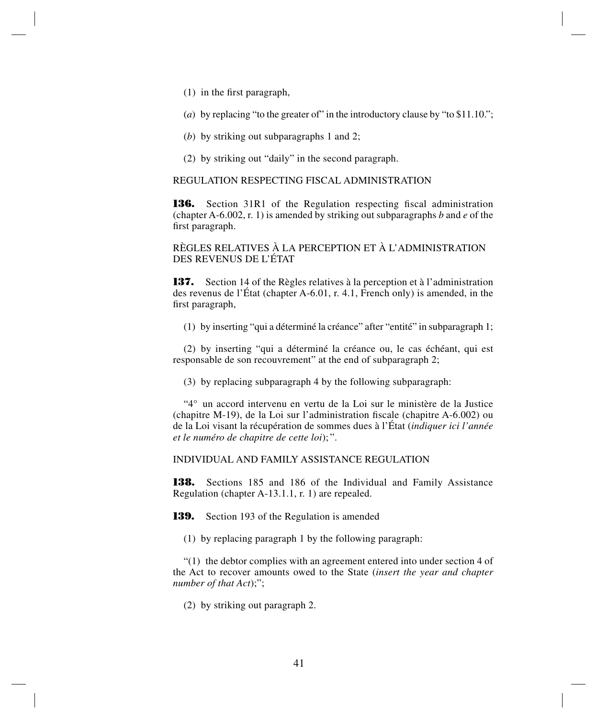- (1) in the first paragraph,
- (*a*) by replacing "to the greater of" in the introductory clause by "to \$11.10.";
- (*b*) by striking out subparagraphs 1 and 2;
- (2) by striking out "daily" in the second paragraph.

# REGULATION RESPECTING FISCAL ADMINISTRATION

**136.** Section 31R1 of the Regulation respecting fiscal administration (chapter A-6.002, r. 1) is amended by striking out subparagraphs *b* and *e* of the first paragraph.

RÈGLES RELATIVES À LA PERCEPTION ET À L'ADMINISTRATION DES REVENUS DE L'ÉTAT

**137.** Section 14 of the Règles relatives à la perception et à l'administration des revenus de l'État (chapter A-6.01, r. 4.1, French only) is amended, in the first paragraph,

(1) by inserting "qui a déterminé la créance" after "entité" in subparagraph 1;

(2) by inserting "qui a déterminé la créance ou, le cas échéant, qui est responsable de son recouvrement" at the end of subparagraph 2;

(3) by replacing subparagraph 4 by the following subparagraph:

"4° un accord intervenu en vertu de la Loi sur le ministère de la Justice (chapitre M-19), de la Loi sur l'administration fiscale (chapitre A-6.002) ou de la Loi visant la récupération de sommes dues à l'État (*indiquer ici l'année et le numéro de chapitre de cette loi*); ".

# INDIVIDUAL AND FAMILY ASSISTANCE REGULATION

**138.** Sections 185 and 186 of the Individual and Family Assistance Regulation (chapter A-13.1.1, r. 1) are repealed.

**139.** Section 193 of the Regulation is amended

(1) by replacing paragraph 1 by the following paragraph:

 $(1)$  the debtor complies with an agreement entered into under section 4 of the Act to recover amounts owed to the State (*insert the year and chapter number of that Act*);";

(2) by striking out paragraph 2.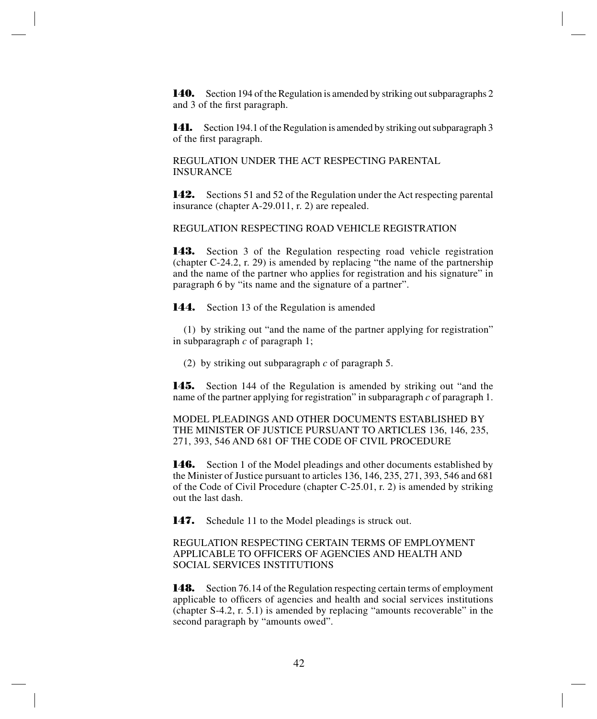**140.** Section 194 of the Regulation is amended by striking out subparagraphs 2 and 3 of the first paragraph.

**141.** Section 194.1 of the Regulation is amended by striking out subparagraph 3 of the first paragraph.

REGULATION UNDER THE ACT RESPECTING PARENTAL INSURANCE

**142.** Sections 51 and 52 of the Regulation under the Act respecting parental insurance (chapter A-29.011, r. 2) are repealed.

REGULATION RESPECTING ROAD VEHICLE REGISTRATION

**143.** Section 3 of the Regulation respecting road vehicle registration (chapter C-24.2, r. 29) is amended by replacing "the name of the partnership and the name of the partner who applies for registration and his signature" in paragraph 6 by "its name and the signature of a partner".

**144.** Section 13 of the Regulation is amended

(1) by striking out "and the name of the partner applying for registration" in subparagraph *c* of paragraph 1;

(2) by striking out subparagraph *c* of paragraph 5.

**145.** Section 144 of the Regulation is amended by striking out "and the name of the partner applying for registration" in subparagraph *c* of paragraph 1.

MODEL PLEADINGS AND OTHER DOCUMENTS ESTABLISHED BY THE MINISTER OF JUSTICE PURSUANT TO ARTICLES 136, 146, 235, 271, 393, 546 AND 681 OF THE CODE OF CIVIL PROCEDURE

**146.** Section 1 of the Model pleadings and other documents established by the Minister of Justice pursuant to articles 136, 146, 235, 271, 393, 546 and 681 of the Code of Civil Procedure (chapter C-25.01, r. 2) is amended by striking out the last dash.

**147.** Schedule 11 to the Model pleadings is struck out.

REGULATION RESPECTING CERTAIN TERMS OF EMPLOYMENT APPLICABLE TO OFFICERS OF AGENCIES AND HEALTH AND SOCIAL SERVICES INSTITUTIONS

**148.** Section 76.14 of the Regulation respecting certain terms of employment applicable to officers of agencies and health and social services institutions (chapter S-4.2, r. 5.1) is amended by replacing "amounts recoverable" in the second paragraph by "amounts owed".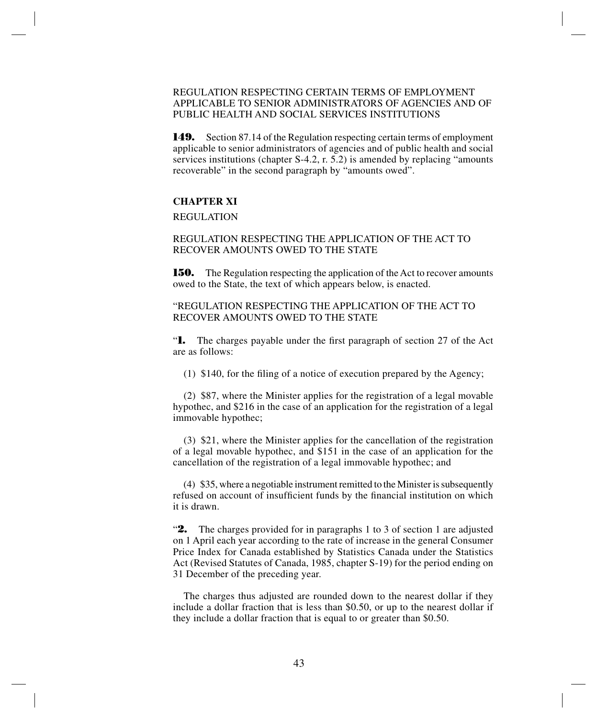# REGULATION RESPECTING CERTAIN TERMS OF EMPLOYMENT APPLICABLE TO SENIOR ADMINISTRATORS OF AGENCIES AND OF PUBLIC HEALTH AND SOCIAL SERVICES INSTITUTIONS

**149.** Section 87.14 of the Regulation respecting certain terms of employment applicable to senior administrators of agencies and of public health and social services institutions (chapter S-4.2, r. 5.2) is amended by replacing "amounts recoverable" in the second paragraph by "amounts owed".

#### **CHAPTER XI**

REGULATION

REGULATION RESPECTING THE APPLICATION OF THE ACT TO RECOVER AMOUNTS OWED TO THE STATE

**150.** The Regulation respecting the application of the Act to recover amounts owed to the State, the text of which appears below, is enacted.

# "REGULATION RESPECTING THE APPLICATION OF THE ACT TO RECOVER AMOUNTS OWED TO THE STATE

"**1.** The charges payable under the first paragraph of section 27 of the Act are as follows:

(1) \$140, for the filing of a notice of execution prepared by the Agency;

(2) \$87, where the Minister applies for the registration of a legal movable hypothec, and \$216 in the case of an application for the registration of a legal immovable hypothec;

(3) \$21, where the Minister applies for the cancellation of the registration of a legal movable hypothec, and \$151 in the case of an application for the cancellation of the registration of a legal immovable hypothec; and

(4) \$35, where a negotiable instrument remitted to the Minister is subsequently refused on account of insufficient funds by the financial institution on which it is drawn.

"**2.** The charges provided for in paragraphs 1 to 3 of section 1 are adjusted on 1 April each year according to the rate of increase in the general Consumer Price Index for Canada established by Statistics Canada under the Statistics Act (Revised Statutes of Canada, 1985, chapter S-19) for the period ending on 31 December of the preceding year.

The charges thus adjusted are rounded down to the nearest dollar if they include a dollar fraction that is less than \$0.50, or up to the nearest dollar if they include a dollar fraction that is equal to or greater than \$0.50.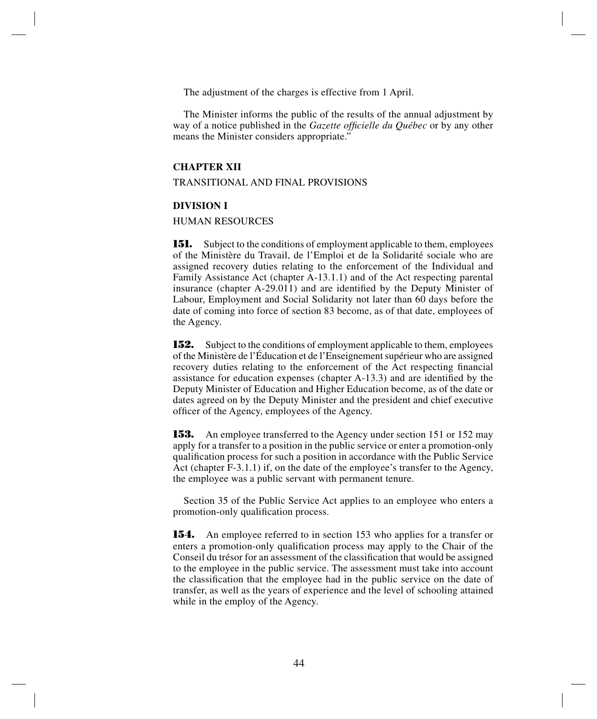The adjustment of the charges is effective from 1 April.

The Minister informs the public of the results of the annual adjustment by way of a notice published in the *Gazette officielle du Québec* or by any other means the Minister considers appropriate."

## **CHAPTER XII**

#### TRANSITIONAL AND FINAL PROVISIONS

#### **DIVISION I**

#### HUMAN RESOURCES

**151.** Subject to the conditions of employment applicable to them, employees of the Ministère du Travail, de l'Emploi et de la Solidarité sociale who are assigned recovery duties relating to the enforcement of the Individual and Family Assistance Act (chapter A-13.1.1) and of the Act respecting parental insurance (chapter A-29.011) and are identified by the Deputy Minister of Labour, Employment and Social Solidarity not later than 60 days before the date of coming into force of section 83 become, as of that date, employees of the Agency.

**152.** Subject to the conditions of employment applicable to them, employees of the Ministère de l'Éducation et de l'Enseignement supérieur who are assigned recovery duties relating to the enforcement of the Act respecting financial assistance for education expenses (chapter A-13.3) and are identified by the Deputy Minister of Education and Higher Education become, as of the date or dates agreed on by the Deputy Minister and the president and chief executive officer of the Agency, employees of the Agency.

**153.** An employee transferred to the Agency under section 151 or 152 may apply for a transfer to a position in the public service or enter a promotion-only qualification process for such a position in accordance with the Public Service Act (chapter F-3.1.1) if, on the date of the employee's transfer to the Agency, the employee was a public servant with permanent tenure.

Section 35 of the Public Service Act applies to an employee who enters a promotion-only qualification process.

**154.** An employee referred to in section 153 who applies for a transfer or enters a promotion-only qualification process may apply to the Chair of the Conseil du trésor for an assessment of the classification that would be assigned to the employee in the public service. The assessment must take into account the classification that the employee had in the public service on the date of transfer, as well as the years of experience and the level of schooling attained while in the employ of the Agency.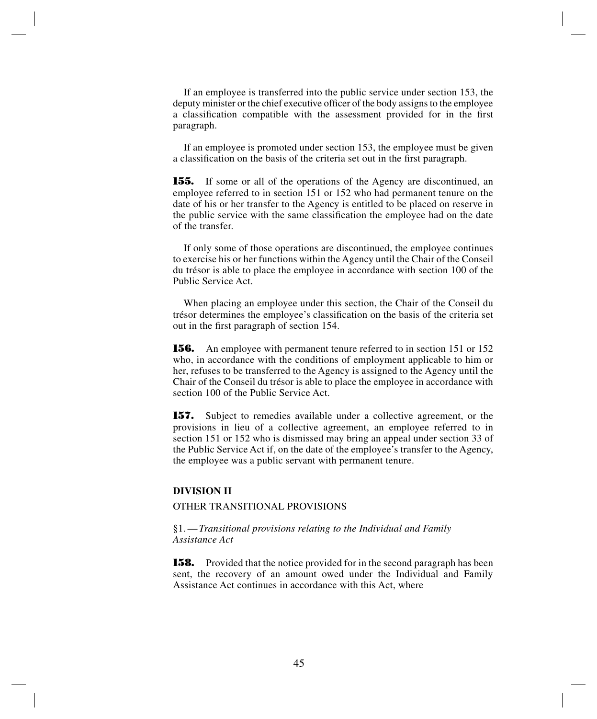If an employee is transferred into the public service under section 153, the deputy minister or the chief executive officer of the body assigns to the employee a classification compatible with the assessment provided for in the first paragraph.

If an employee is promoted under section 153, the employee must be given a classification on the basis of the criteria set out in the first paragraph.

**155.** If some or all of the operations of the Agency are discontinued, an employee referred to in section 151 or 152 who had permanent tenure on the date of his or her transfer to the Agency is entitled to be placed on reserve in the public service with the same classification the employee had on the date of the transfer.

If only some of those operations are discontinued, the employee continues to exercise his or her functions within the Agency until the Chair of the Conseil du trésor is able to place the employee in accordance with section 100 of the Public Service Act.

When placing an employee under this section, the Chair of the Conseil du trésor determines the employee's classification on the basis of the criteria set out in the first paragraph of section 154.

**156.** An employee with permanent tenure referred to in section 151 or 152 who, in accordance with the conditions of employment applicable to him or her, refuses to be transferred to the Agency is assigned to the Agency until the Chair of the Conseil du trésor is able to place the employee in accordance with section 100 of the Public Service Act.

157. Subject to remedies available under a collective agreement, or the provisions in lieu of a collective agreement, an employee referred to in section 151 or 152 who is dismissed may bring an appeal under section 33 of the Public Service Act if, on the date of the employee's transfer to the Agency, the employee was a public servant with permanent tenure.

#### **DIVISION II**

# OTHER TRANSITIONAL PROVISIONS

#### §1.—*Transitional provisions relating to the Individual and Family Assistance Act*

**158.** Provided that the notice provided for in the second paragraph has been sent, the recovery of an amount owed under the Individual and Family Assistance Act continues in accordance with this Act, where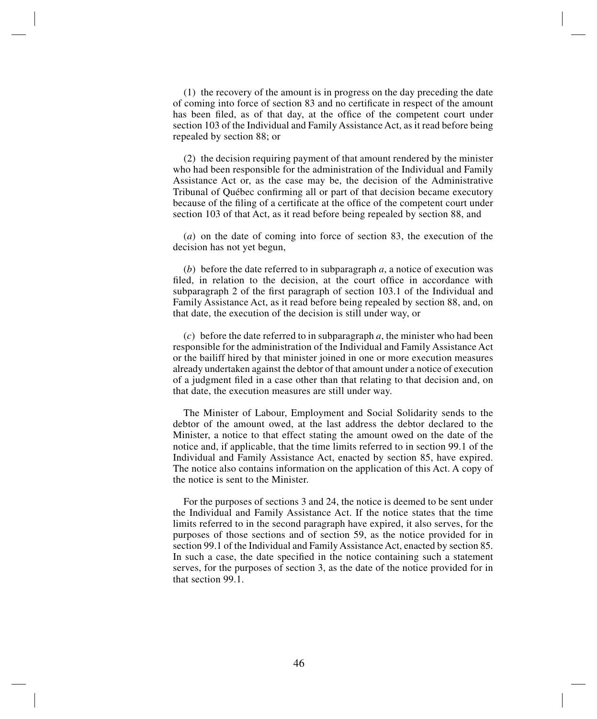(1) the recovery of the amount is in progress on the day preceding the date of coming into force of section 83 and no certificate in respect of the amount has been filed, as of that day, at the office of the competent court under section 103 of the Individual and Family Assistance Act, as it read before being repealed by section 88; or

(2) the decision requiring payment of that amount rendered by the minister who had been responsible for the administration of the Individual and Family Assistance Act or, as the case may be, the decision of the Administrative Tribunal of Québec confirming all or part of that decision became executory because of the filing of a certificate at the office of the competent court under section 103 of that Act, as it read before being repealed by section 88, and

(*a*) on the date of coming into force of section 83, the execution of the decision has not yet begun,

(*b*) before the date referred to in subparagraph *a*, a notice of execution was filed, in relation to the decision, at the court office in accordance with subparagraph 2 of the first paragraph of section 103.1 of the Individual and Family Assistance Act, as it read before being repealed by section 88, and, on that date, the execution of the decision is still under way, or

(*c*) before the date referred to in subparagraph *a*, the minister who had been responsible for the administration of the Individual and Family Assistance Act or the bailiff hired by that minister joined in one or more execution measures already undertaken against the debtor of that amount under a notice of execution of a judgment filed in a case other than that relating to that decision and, on that date, the execution measures are still under way.

The Minister of Labour, Employment and Social Solidarity sends to the debtor of the amount owed, at the last address the debtor declared to the Minister, a notice to that effect stating the amount owed on the date of the notice and, if applicable, that the time limits referred to in section 99.1 of the Individual and Family Assistance Act, enacted by section 85, have expired. The notice also contains information on the application of this Act. A copy of the notice is sent to the Minister.

For the purposes of sections 3 and 24, the notice is deemed to be sent under the Individual and Family Assistance Act. If the notice states that the time limits referred to in the second paragraph have expired, it also serves, for the purposes of those sections and of section 59, as the notice provided for in section 99.1 of the Individual and Family Assistance Act, enacted by section 85. In such a case, the date specified in the notice containing such a statement serves, for the purposes of section 3, as the date of the notice provided for in that section 99.1.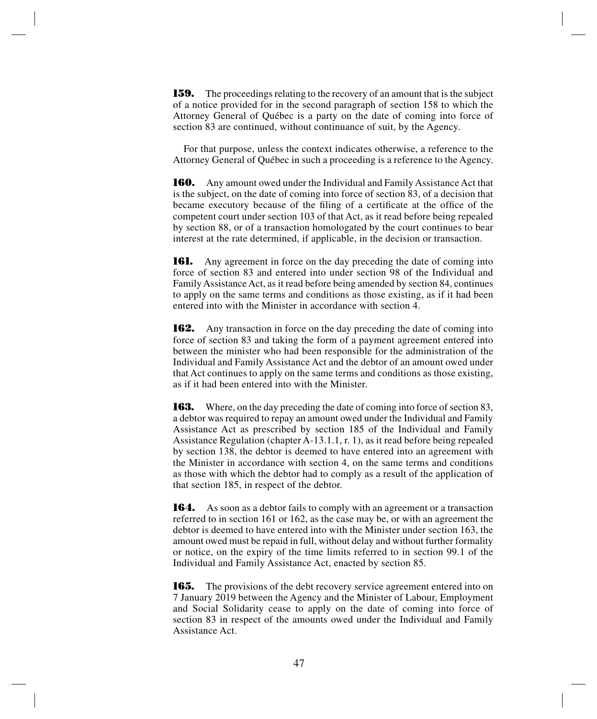**159.** The proceedings relating to the recovery of an amount that is the subject of a notice provided for in the second paragraph of section 158 to which the Attorney General of Québec is a party on the date of coming into force of section 83 are continued, without continuance of suit, by the Agency.

For that purpose, unless the context indicates otherwise, a reference to the Attorney General of Québec in such a proceeding is a reference to the Agency.

**160.** Any amount owed under the Individual and Family Assistance Act that is the subject, on the date of coming into force of section 83, of a decision that became executory because of the filing of a certificate at the office of the competent court under section 103 of that Act, as it read before being repealed by section 88, or of a transaction homologated by the court continues to bear interest at the rate determined, if applicable, in the decision or transaction.

**161.** Any agreement in force on the day preceding the date of coming into force of section 83 and entered into under section 98 of the Individual and Family Assistance Act, as it read before being amended by section 84, continues to apply on the same terms and conditions as those existing, as if it had been entered into with the Minister in accordance with section 4.

**162.** Any transaction in force on the day preceding the date of coming into force of section 83 and taking the form of a payment agreement entered into between the minister who had been responsible for the administration of the Individual and Family Assistance Act and the debtor of an amount owed under that Act continues to apply on the same terms and conditions as those existing, as if it had been entered into with the Minister.

**163.** Where, on the day preceding the date of coming into force of section 83, a debtor was required to repay an amount owed under the Individual and Family Assistance Act as prescribed by section 185 of the Individual and Family Assistance Regulation (chapter A-13.1.1, r. 1), as it read before being repealed by section 138, the debtor is deemed to have entered into an agreement with the Minister in accordance with section 4, on the same terms and conditions as those with which the debtor had to comply as a result of the application of that section 185, in respect of the debtor.

**164.** As soon as a debtor fails to comply with an agreement or a transaction referred to in section 161 or 162, as the case may be, or with an agreement the debtor is deemed to have entered into with the Minister under section 163, the amount owed must be repaid in full, without delay and without further formality or notice, on the expiry of the time limits referred to in section 99.1 of the Individual and Family Assistance Act, enacted by section 85.

**165.** The provisions of the debt recovery service agreement entered into on 7 January 2019 between the Agency and the Minister of Labour, Employment and Social Solidarity cease to apply on the date of coming into force of section 83 in respect of the amounts owed under the Individual and Family Assistance Act.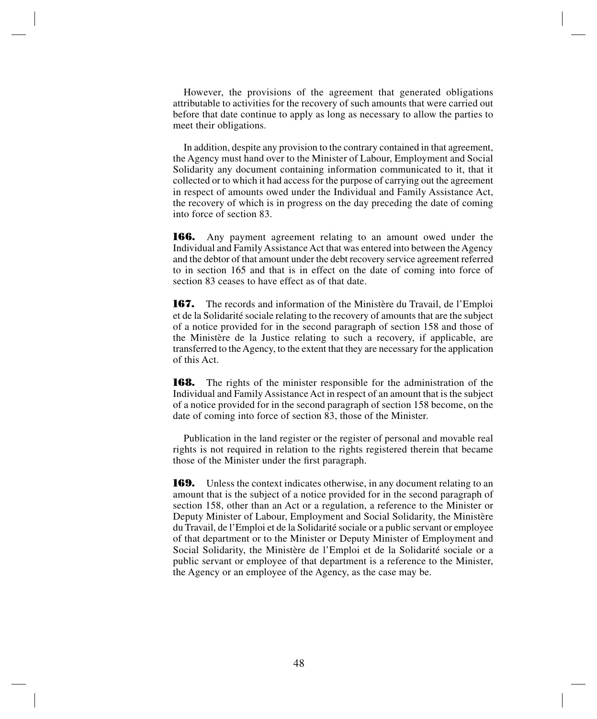However, the provisions of the agreement that generated obligations attributable to activities for the recovery of such amounts that were carried out before that date continue to apply as long as necessary to allow the parties to meet their obligations.

In addition, despite any provision to the contrary contained in that agreement, the Agency must hand over to the Minister of Labour, Employment and Social Solidarity any document containing information communicated to it, that it collected or to which it had access for the purpose of carrying out the agreement in respect of amounts owed under the Individual and Family Assistance Act, the recovery of which is in progress on the day preceding the date of coming into force of section 83.

**166.** Any payment agreement relating to an amount owed under the Individual and Family Assistance Act that was entered into between the Agency and the debtor of that amount under the debt recovery service agreement referred to in section 165 and that is in effect on the date of coming into force of section 83 ceases to have effect as of that date.

**167.** The records and information of the Ministère du Travail, de l'Emploi et de la Solidarité sociale relating to the recovery of amounts that are the subject of a notice provided for in the second paragraph of section 158 and those of the Ministère de la Justice relating to such a recovery, if applicable, are transferred to the Agency, to the extent that they are necessary for the application of this Act.

**168.** The rights of the minister responsible for the administration of the Individual and Family Assistance Act in respect of an amount that is the subject of a notice provided for in the second paragraph of section 158 become, on the date of coming into force of section 83, those of the Minister.

Publication in the land register or the register of personal and movable real rights is not required in relation to the rights registered therein that became those of the Minister under the first paragraph.

**169.** Unless the context indicates otherwise, in any document relating to an amount that is the subject of a notice provided for in the second paragraph of section 158, other than an Act or a regulation, a reference to the Minister or Deputy Minister of Labour, Employment and Social Solidarity, the Ministère du Travail, de l'Emploi et de la Solidarité sociale or a public servant or employee of that department or to the Minister or Deputy Minister of Employment and Social Solidarity, the Ministère de l'Emploi et de la Solidarité sociale or a public servant or employee of that department is a reference to the Minister, the Agency or an employee of the Agency, as the case may be.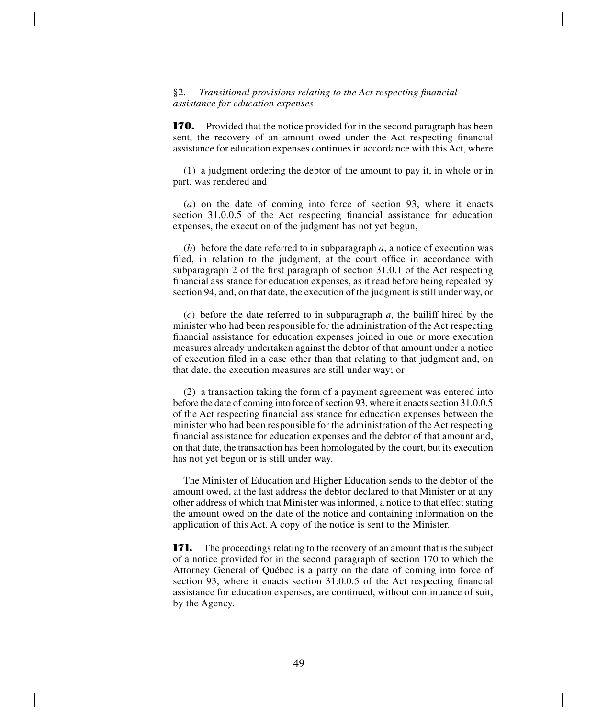§2.—*Transitional provisions relating to the Act respecting financial assistance for education expenses*

**170.** Provided that the notice provided for in the second paragraph has been sent, the recovery of an amount owed under the Act respecting financial assistance for education expenses continues in accordance with this Act, where

(1) a judgment ordering the debtor of the amount to pay it, in whole or in part, was rendered and

(*a*) on the date of coming into force of section 93, where it enacts section 31.0.0.5 of the Act respecting financial assistance for education expenses, the execution of the judgment has not yet begun,

(*b*) before the date referred to in subparagraph *a*, a notice of execution was filed, in relation to the judgment, at the court office in accordance with subparagraph 2 of the first paragraph of section 31.0.1 of the Act respecting financial assistance for education expenses, as it read before being repealed by section 94, and, on that date, the execution of the judgment is still under way, or

(*c*) before the date referred to in subparagraph *a*, the bailiff hired by the minister who had been responsible for the administration of the Act respecting financial assistance for education expenses joined in one or more execution measures already undertaken against the debtor of that amount under a notice of execution filed in a case other than that relating to that judgment and, on that date, the execution measures are still under way; or

(2) a transaction taking the form of a payment agreement was entered into before the date of coming into force of section 93, where it enacts section 31.0.0.5 of the Act respecting financial assistance for education expenses between the minister who had been responsible for the administration of the Act respecting financial assistance for education expenses and the debtor of that amount and, on that date, the transaction has been homologated by the court, but its execution has not yet begun or is still under way.

The Minister of Education and Higher Education sends to the debtor of the amount owed, at the last address the debtor declared to that Minister or at any other address of which that Minister was informed, a notice to that effect stating the amount owed on the date of the notice and containing information on the application of this Act. A copy of the notice is sent to the Minister.

**171.** The proceedings relating to the recovery of an amount that is the subject of a notice provided for in the second paragraph of section 170 to which the Attorney General of Québec is a party on the date of coming into force of section 93, where it enacts section 31.0.0.5 of the Act respecting financial assistance for education expenses, are continued, without continuance of suit, by the Agency.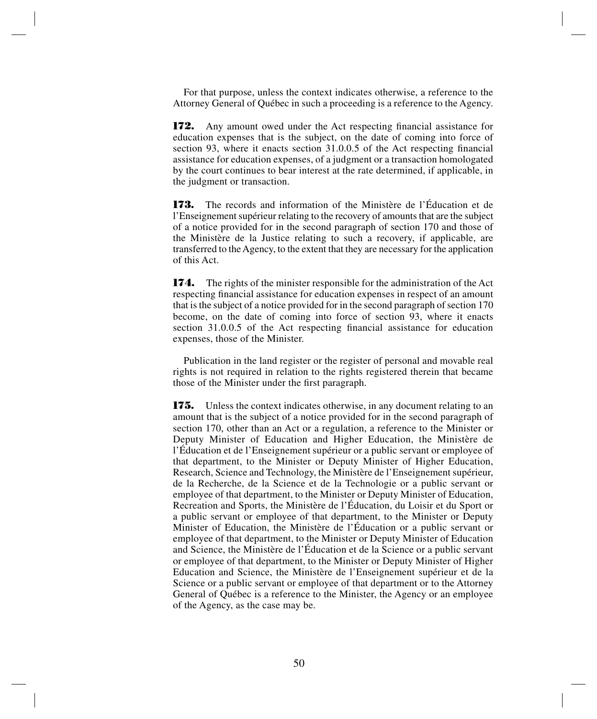For that purpose, unless the context indicates otherwise, a reference to the Attorney General of Québec in such a proceeding is a reference to the Agency.

**172.** Any amount owed under the Act respecting financial assistance for education expenses that is the subject, on the date of coming into force of section 93, where it enacts section 31.0.0.5 of the Act respecting financial assistance for education expenses, of a judgment or a transaction homologated by the court continues to bear interest at the rate determined, if applicable, in the judgment or transaction.

**173.** The records and information of the Ministère de l'Éducation et de l'Enseignement supérieur relating to the recovery of amounts that are the subject of a notice provided for in the second paragraph of section 170 and those of the Ministère de la Justice relating to such a recovery, if applicable, are transferred to the Agency, to the extent that they are necessary for the application of this Act.

**174.** The rights of the minister responsible for the administration of the Act respecting financial assistance for education expenses in respect of an amount that is the subject of a notice provided for in the second paragraph of section 170 become, on the date of coming into force of section 93, where it enacts section 31.0.0.5 of the Act respecting financial assistance for education expenses, those of the Minister.

Publication in the land register or the register of personal and movable real rights is not required in relation to the rights registered therein that became those of the Minister under the first paragraph.

**175.** Unless the context indicates otherwise, in any document relating to an amount that is the subject of a notice provided for in the second paragraph of section 170, other than an Act or a regulation, a reference to the Minister or Deputy Minister of Education and Higher Education, the Ministère de l'Éducation et de l'Enseignement supérieur or a public servant or employee of that department, to the Minister or Deputy Minister of Higher Education, Research, Science and Technology, the Ministère de l'Enseignement supérieur, de la Recherche, de la Science et de la Technologie or a public servant or employee of that department, to the Minister or Deputy Minister of Education, Recreation and Sports, the Ministère de l'Éducation, du Loisir et du Sport or a public servant or employee of that department, to the Minister or Deputy Minister of Education, the Ministère de l'Éducation or a public servant or employee of that department, to the Minister or Deputy Minister of Education and Science, the Ministère de l'Éducation et de la Science or a public servant or employee of that department, to the Minister or Deputy Minister of Higher Education and Science, the Ministère de l'Enseignement supérieur et de la Science or a public servant or employee of that department or to the Attorney General of Québec is a reference to the Minister, the Agency or an employee of the Agency, as the case may be.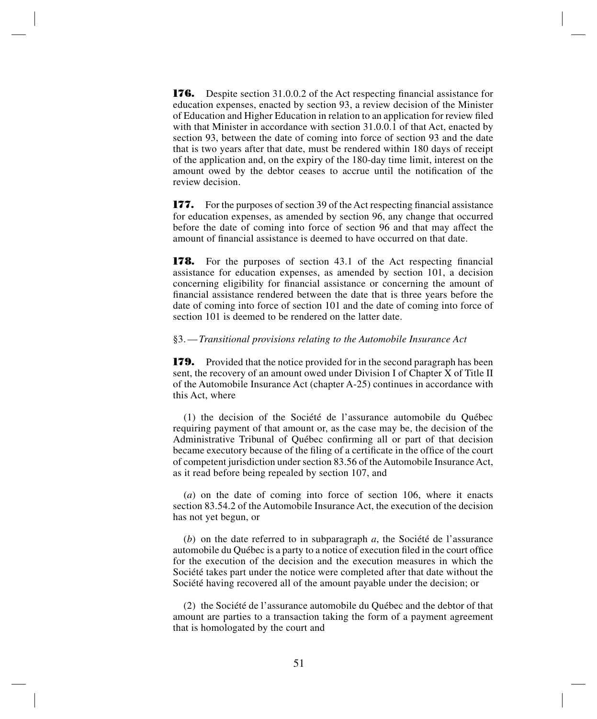**176.** Despite section 31.0.0.2 of the Act respecting financial assistance for education expenses, enacted by section 93, a review decision of the Minister of Education and Higher Education in relation to an application for review filed with that Minister in accordance with section 31.0.0.1 of that Act, enacted by section 93, between the date of coming into force of section 93 and the date that is two years after that date, must be rendered within 180 days of receipt of the application and, on the expiry of the 180-day time limit, interest on the amount owed by the debtor ceases to accrue until the notification of the review decision.

**177.** For the purposes of section 39 of the Act respecting financial assistance for education expenses, as amended by section 96, any change that occurred before the date of coming into force of section 96 and that may affect the amount of financial assistance is deemed to have occurred on that date.

**178.** For the purposes of section 43.1 of the Act respecting financial assistance for education expenses, as amended by section 101, a decision concerning eligibility for financial assistance or concerning the amount of financial assistance rendered between the date that is three years before the date of coming into force of section 101 and the date of coming into force of section 101 is deemed to be rendered on the latter date.

#### §3.—*Transitional provisions relating to the Automobile Insurance Act*

**179.** Provided that the notice provided for in the second paragraph has been sent, the recovery of an amount owed under Division I of Chapter X of Title II of the Automobile Insurance Act (chapter A-25) continues in accordance with this Act, where

(1) the decision of the Société de l'assurance automobile du Québec requiring payment of that amount or, as the case may be, the decision of the Administrative Tribunal of Québec confirming all or part of that decision became executory because of the filing of a certificate in the office of the court of competent jurisdiction under section 83.56 of the Automobile Insurance Act, as it read before being repealed by section 107, and

(*a*) on the date of coming into force of section 106, where it enacts section 83.54.2 of the Automobile Insurance Act, the execution of the decision has not yet begun, or

(*b*) on the date referred to in subparagraph *a*, the Société de l'assurance automobile du Québec is a party to a notice of execution filed in the court office for the execution of the decision and the execution measures in which the Société takes part under the notice were completed after that date without the Société having recovered all of the amount payable under the decision; or

(2) the Société de l'assurance automobile du Québec and the debtor of that amount are parties to a transaction taking the form of a payment agreement that is homologated by the court and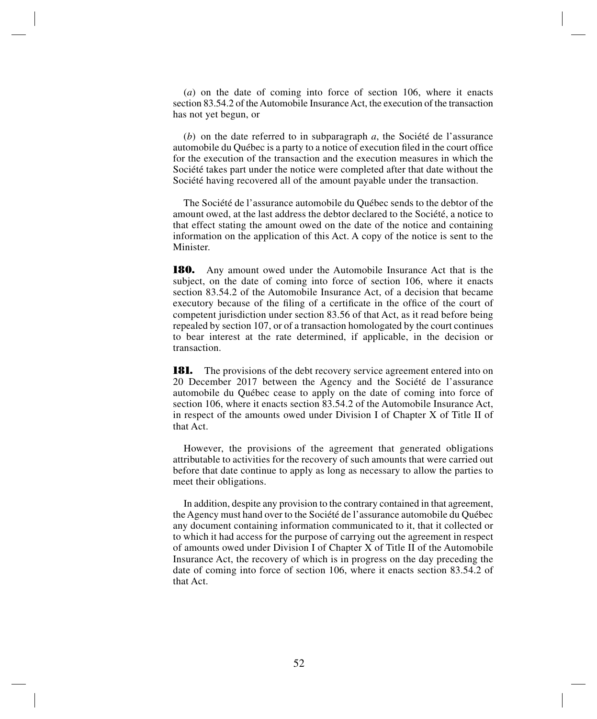(*a*) on the date of coming into force of section 106, where it enacts section 83.54.2 of the Automobile Insurance Act, the execution of the transaction has not yet begun, or

(*b*) on the date referred to in subparagraph *a*, the Société de l'assurance automobile du Québec is a party to a notice of execution filed in the court office for the execution of the transaction and the execution measures in which the Société takes part under the notice were completed after that date without the Société having recovered all of the amount payable under the transaction.

The Société de l'assurance automobile du Québec sends to the debtor of the amount owed, at the last address the debtor declared to the Société, a notice to that effect stating the amount owed on the date of the notice and containing information on the application of this Act. A copy of the notice is sent to the Minister.

**180.** Any amount owed under the Automobile Insurance Act that is the subject, on the date of coming into force of section 106, where it enacts section 83.54.2 of the Automobile Insurance Act, of a decision that became executory because of the filing of a certificate in the office of the court of competent jurisdiction under section 83.56 of that Act, as it read before being repealed by section 107, or of a transaction homologated by the court continues to bear interest at the rate determined, if applicable, in the decision or transaction.

**181.** The provisions of the debt recovery service agreement entered into on 20 December 2017 between the Agency and the Société de l'assurance automobile du Québec cease to apply on the date of coming into force of section 106, where it enacts section 83.54.2 of the Automobile Insurance Act, in respect of the amounts owed under Division I of Chapter X of Title II of that Act.

However, the provisions of the agreement that generated obligations attributable to activities for the recovery of such amounts that were carried out before that date continue to apply as long as necessary to allow the parties to meet their obligations.

In addition, despite any provision to the contrary contained in that agreement, the Agency must hand over to the Société de l'assurance automobile du Québec any document containing information communicated to it, that it collected or to which it had access for the purpose of carrying out the agreement in respect of amounts owed under Division I of Chapter X of Title II of the Automobile Insurance Act, the recovery of which is in progress on the day preceding the date of coming into force of section 106, where it enacts section 83.54.2 of that Act.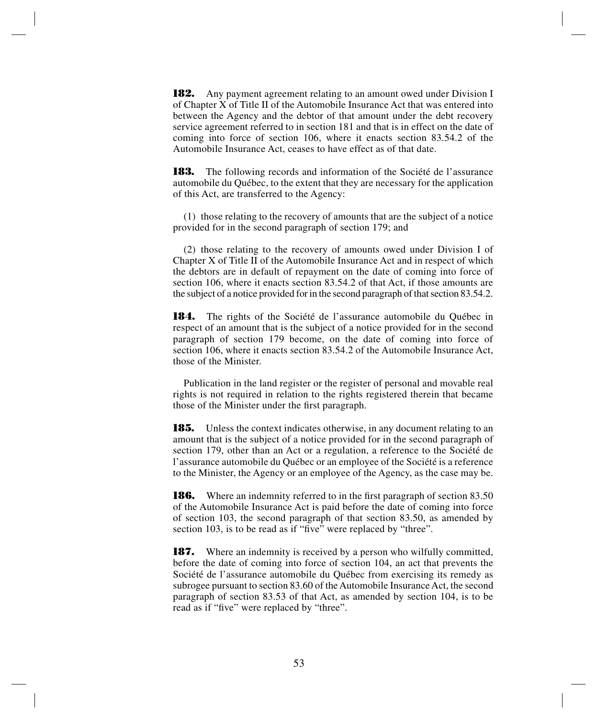**182.** Any payment agreement relating to an amount owed under Division I of Chapter X of Title II of the Automobile Insurance Act that was entered into between the Agency and the debtor of that amount under the debt recovery service agreement referred to in section 181 and that is in effect on the date of coming into force of section 106, where it enacts section 83.54.2 of the Automobile Insurance Act, ceases to have effect as of that date.

**183.** The following records and information of the Société de l'assurance automobile du Québec, to the extent that they are necessary for the application of this Act, are transferred to the Agency:

(1) those relating to the recovery of amounts that are the subject of a notice provided for in the second paragraph of section 179; and

(2) those relating to the recovery of amounts owed under Division I of Chapter X of Title II of the Automobile Insurance Act and in respect of which the debtors are in default of repayment on the date of coming into force of section 106, where it enacts section 83.54.2 of that Act, if those amounts are the subject of a notice provided for in the second paragraph of that section 83.54.2.

**184.** The rights of the Société de l'assurance automobile du Québec in respect of an amount that is the subject of a notice provided for in the second paragraph of section 179 become, on the date of coming into force of section 106, where it enacts section 83.54.2 of the Automobile Insurance Act, those of the Minister.

Publication in the land register or the register of personal and movable real rights is not required in relation to the rights registered therein that became those of the Minister under the first paragraph.

**185.** Unless the context indicates otherwise, in any document relating to an amount that is the subject of a notice provided for in the second paragraph of section 179, other than an Act or a regulation, a reference to the Société de l'assurance automobile du Québec or an employee of the Société is a reference to the Minister, the Agency or an employee of the Agency, as the case may be.

**186.** Where an indemnity referred to in the first paragraph of section 83.50 of the Automobile Insurance Act is paid before the date of coming into force of section 103, the second paragraph of that section 83.50, as amended by section 103, is to be read as if "five" were replaced by "three".

**187.** Where an indemnity is received by a person who wilfully committed, before the date of coming into force of section 104, an act that prevents the Société de l'assurance automobile du Québec from exercising its remedy as subrogee pursuant to section 83.60 of the Automobile Insurance Act, the second paragraph of section 83.53 of that Act, as amended by section 104, is to be read as if "five" were replaced by "three".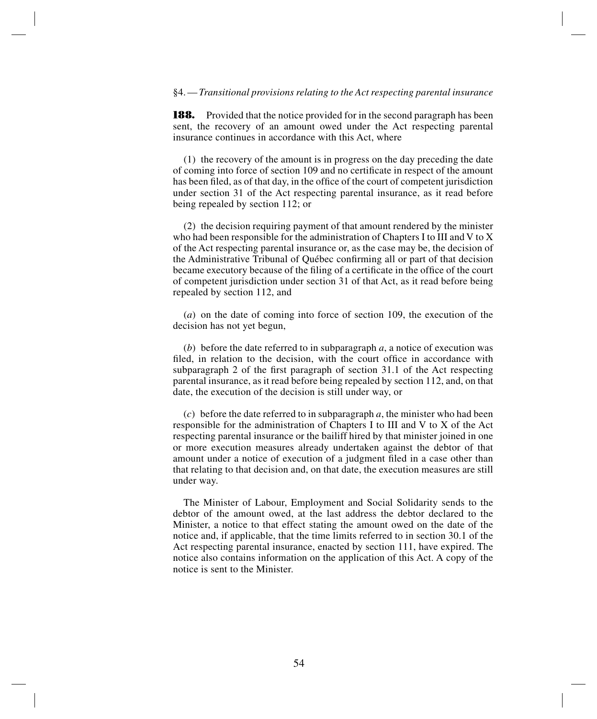#### §4.—*Transitional provisions relating to the Act respecting parental insurance*

**188.** Provided that the notice provided for in the second paragraph has been sent, the recovery of an amount owed under the Act respecting parental insurance continues in accordance with this Act, where

(1) the recovery of the amount is in progress on the day preceding the date of coming into force of section 109 and no certificate in respect of the amount has been filed, as of that day, in the office of the court of competent jurisdiction under section 31 of the Act respecting parental insurance, as it read before being repealed by section 112; or

(2) the decision requiring payment of that amount rendered by the minister who had been responsible for the administration of Chapters I to III and V to X of the Act respecting parental insurance or, as the case may be, the decision of the Administrative Tribunal of Québec confirming all or part of that decision became executory because of the filing of a certificate in the office of the court of competent jurisdiction under section 31 of that Act, as it read before being repealed by section 112, and

(*a*) on the date of coming into force of section 109, the execution of the decision has not yet begun,

(*b*) before the date referred to in subparagraph *a*, a notice of execution was filed, in relation to the decision, with the court office in accordance with subparagraph 2 of the first paragraph of section 31.1 of the Act respecting parental insurance, as it read before being repealed by section 112, and, on that date, the execution of the decision is still under way, or

(*c*) before the date referred to in subparagraph *a*, the minister who had been responsible for the administration of Chapters I to III and V to X of the Act respecting parental insurance or the bailiff hired by that minister joined in one or more execution measures already undertaken against the debtor of that amount under a notice of execution of a judgment filed in a case other than that relating to that decision and, on that date, the execution measures are still under way.

The Minister of Labour, Employment and Social Solidarity sends to the debtor of the amount owed, at the last address the debtor declared to the Minister, a notice to that effect stating the amount owed on the date of the notice and, if applicable, that the time limits referred to in section 30.1 of the Act respecting parental insurance, enacted by section 111, have expired. The notice also contains information on the application of this Act. A copy of the notice is sent to the Minister.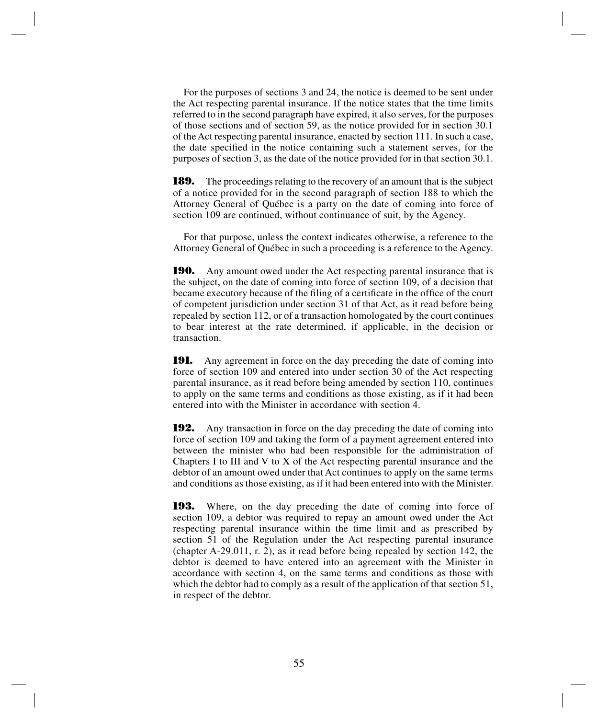For the purposes of sections 3 and 24, the notice is deemed to be sent under the Act respecting parental insurance. If the notice states that the time limits referred to in the second paragraph have expired, it also serves, for the purposes of those sections and of section 59, as the notice provided for in section 30.1 of the Act respecting parental insurance, enacted by section 111. In such a case, the date specified in the notice containing such a statement serves, for the purposes of section 3, as the date of the notice provided for in that section 30.1.

**189.** The proceedings relating to the recovery of an amount that is the subject of a notice provided for in the second paragraph of section 188 to which the Attorney General of Québec is a party on the date of coming into force of section 109 are continued, without continuance of suit, by the Agency.

For that purpose, unless the context indicates otherwise, a reference to the Attorney General of Québec in such a proceeding is a reference to the Agency.

**190.** Any amount owed under the Act respecting parental insurance that is the subject, on the date of coming into force of section 109, of a decision that became executory because of the filing of a certificate in the office of the court of competent jurisdiction under section 31 of that Act, as it read before being repealed by section 112, or of a transaction homologated by the court continues to bear interest at the rate determined, if applicable, in the decision or transaction.

**191.** Any agreement in force on the day preceding the date of coming into force of section 109 and entered into under section 30 of the Act respecting parental insurance, as it read before being amended by section 110, continues to apply on the same terms and conditions as those existing, as if it had been entered into with the Minister in accordance with section 4.

**192.** Any transaction in force on the day preceding the date of coming into force of section 109 and taking the form of a payment agreement entered into between the minister who had been responsible for the administration of Chapters I to III and V to X of the Act respecting parental insurance and the debtor of an amount owed under that Act continues to apply on the same terms and conditions as those existing, as if it had been entered into with the Minister.

**193.** Where, on the day preceding the date of coming into force of section 109, a debtor was required to repay an amount owed under the Act respecting parental insurance within the time limit and as prescribed by section 51 of the Regulation under the Act respecting parental insurance (chapter A-29.011, r. 2), as it read before being repealed by section 142, the debtor is deemed to have entered into an agreement with the Minister in accordance with section 4, on the same terms and conditions as those with which the debtor had to comply as a result of the application of that section 51, in respect of the debtor.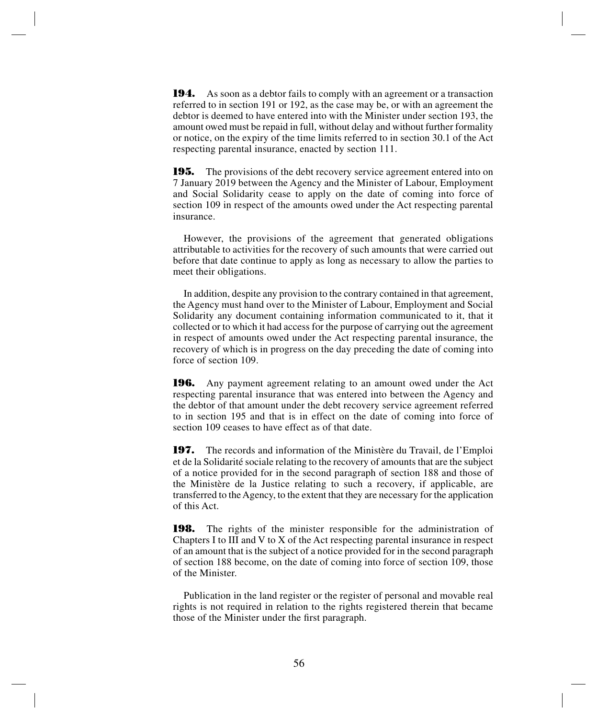**194.** As soon as a debtor fails to comply with an agreement or a transaction referred to in section 191 or 192, as the case may be, or with an agreement the debtor is deemed to have entered into with the Minister under section 193, the amount owed must be repaid in full, without delay and without further formality or notice, on the expiry of the time limits referred to in section 30.1 of the Act respecting parental insurance, enacted by section 111.

**195.** The provisions of the debt recovery service agreement entered into on 7 January 2019 between the Agency and the Minister of Labour, Employment and Social Solidarity cease to apply on the date of coming into force of section 109 in respect of the amounts owed under the Act respecting parental insurance.

However, the provisions of the agreement that generated obligations attributable to activities for the recovery of such amounts that were carried out before that date continue to apply as long as necessary to allow the parties to meet their obligations.

In addition, despite any provision to the contrary contained in that agreement, the Agency must hand over to the Minister of Labour, Employment and Social Solidarity any document containing information communicated to it, that it collected or to which it had access for the purpose of carrying out the agreement in respect of amounts owed under the Act respecting parental insurance, the recovery of which is in progress on the day preceding the date of coming into force of section 109.

**196.** Any payment agreement relating to an amount owed under the Act respecting parental insurance that was entered into between the Agency and the debtor of that amount under the debt recovery service agreement referred to in section 195 and that is in effect on the date of coming into force of section 109 ceases to have effect as of that date.

**197.** The records and information of the Ministère du Travail, de l'Emploi et de la Solidarité sociale relating to the recovery of amounts that are the subject of a notice provided for in the second paragraph of section 188 and those of the Ministère de la Justice relating to such a recovery, if applicable, are transferred to the Agency, to the extent that they are necessary for the application of this Act.

**198.** The rights of the minister responsible for the administration of Chapters I to III and V to X of the Act respecting parental insurance in respect of an amount that is the subject of a notice provided for in the second paragraph of section 188 become, on the date of coming into force of section 109, those of the Minister.

Publication in the land register or the register of personal and movable real rights is not required in relation to the rights registered therein that became those of the Minister under the first paragraph.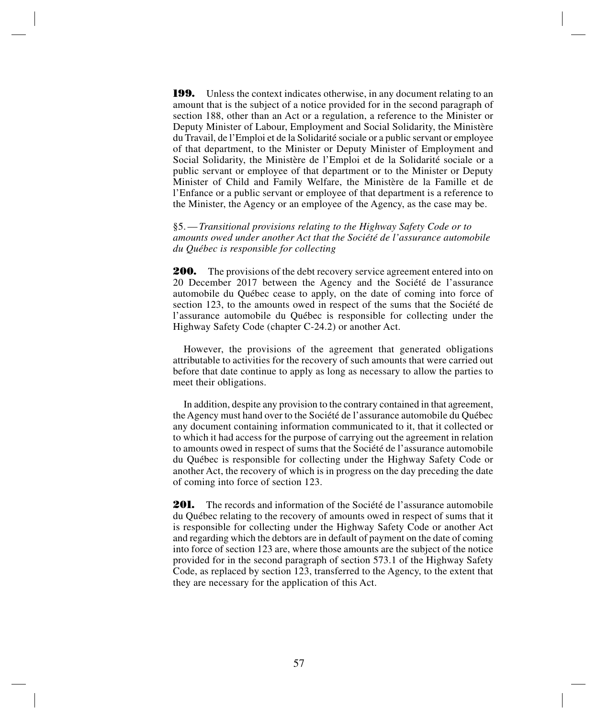**199.** Unless the context indicates otherwise, in any document relating to an amount that is the subject of a notice provided for in the second paragraph of section 188, other than an Act or a regulation, a reference to the Minister or Deputy Minister of Labour, Employment and Social Solidarity, the Ministère du Travail, de l'Emploi et de la Solidarité sociale or a public servant or employee of that department, to the Minister or Deputy Minister of Employment and Social Solidarity, the Ministère de l'Emploi et de la Solidarité sociale or a public servant or employee of that department or to the Minister or Deputy Minister of Child and Family Welfare, the Ministère de la Famille et de l'Enfance or a public servant or employee of that department is a reference to the Minister, the Agency or an employee of the Agency, as the case may be.

§5.—*Transitional provisions relating to the Highway Safety Code or to amounts owed under another Act that the Société de l'assurance automobile du Québec is responsible for collecting*

**200.** The provisions of the debt recovery service agreement entered into on 20 December 2017 between the Agency and the Société de l'assurance automobile du Québec cease to apply, on the date of coming into force of section 123, to the amounts owed in respect of the sums that the Société de l'assurance automobile du Québec is responsible for collecting under the Highway Safety Code (chapter C-24.2) or another Act.

However, the provisions of the agreement that generated obligations attributable to activities for the recovery of such amounts that were carried out before that date continue to apply as long as necessary to allow the parties to meet their obligations.

In addition, despite any provision to the contrary contained in that agreement, the Agency must hand over to the Société de l'assurance automobile du Québec any document containing information communicated to it, that it collected or to which it had access for the purpose of carrying out the agreement in relation to amounts owed in respect of sums that the Société de l'assurance automobile du Québec is responsible for collecting under the Highway Safety Code or another Act, the recovery of which is in progress on the day preceding the date of coming into force of section 123.

**201.** The records and information of the Société de l'assurance automobile du Québec relating to the recovery of amounts owed in respect of sums that it is responsible for collecting under the Highway Safety Code or another Act and regarding which the debtors are in default of payment on the date of coming into force of section 123 are, where those amounts are the subject of the notice provided for in the second paragraph of section 573.1 of the Highway Safety Code, as replaced by section 123, transferred to the Agency, to the extent that they are necessary for the application of this Act.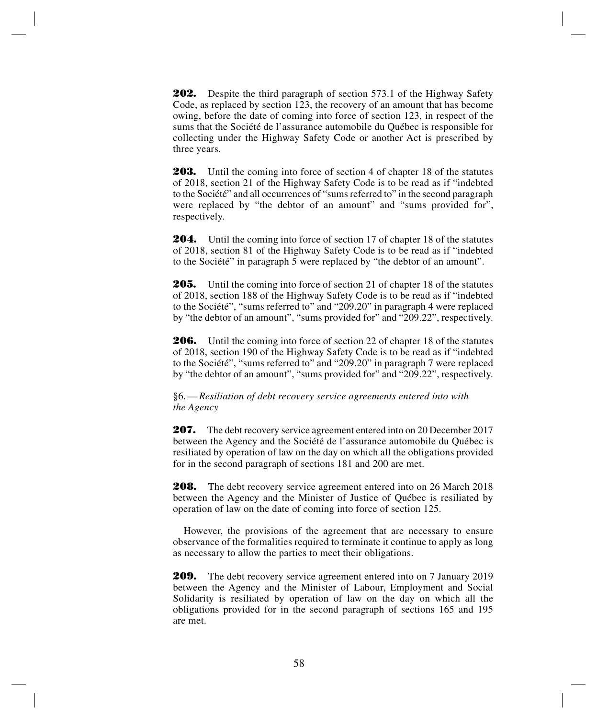**202.** Despite the third paragraph of section 573.1 of the Highway Safety Code, as replaced by section 123, the recovery of an amount that has become owing, before the date of coming into force of section 123, in respect of the sums that the Société de l'assurance automobile du Québec is responsible for collecting under the Highway Safety Code or another Act is prescribed by three years.

**203.** Until the coming into force of section 4 of chapter 18 of the statutes of 2018, section 21 of the Highway Safety Code is to be read as if "indebted to the Société" and all occurrences of "sums referred to" in the second paragraph were replaced by "the debtor of an amount" and "sums provided for", respectively.

**204.** Until the coming into force of section 17 of chapter 18 of the statutes of 2018, section 81 of the Highway Safety Code is to be read as if "indebted to the Société" in paragraph 5 were replaced by "the debtor of an amount".

**205.** Until the coming into force of section 21 of chapter 18 of the statutes of 2018, section 188 of the Highway Safety Code is to be read as if "indebted to the Société", "sums referred to" and "209.20" in paragraph 4 were replaced by "the debtor of an amount", "sums provided for" and "209.22", respectively.

**206.** Until the coming into force of section 22 of chapter 18 of the statutes of 2018, section 190 of the Highway Safety Code is to be read as if "indebted to the Société", "sums referred to" and "209.20" in paragraph 7 were replaced by "the debtor of an amount", "sums provided for" and "209.22", respectively.

§6.—*Resiliation of debt recovery service agreements entered into with the Agency*

**207.** The debt recovery service agreement entered into on 20 December 2017 between the Agency and the Société de l'assurance automobile du Québec is resiliated by operation of law on the day on which all the obligations provided for in the second paragraph of sections 181 and 200 are met.

**208.** The debt recovery service agreement entered into on 26 March 2018 between the Agency and the Minister of Justice of Québec is resiliated by operation of law on the date of coming into force of section 125.

However, the provisions of the agreement that are necessary to ensure observance of the formalities required to terminate it continue to apply as long as necessary to allow the parties to meet their obligations.

**209.** The debt recovery service agreement entered into on 7 January 2019 between the Agency and the Minister of Labour, Employment and Social Solidarity is resiliated by operation of law on the day on which all the obligations provided for in the second paragraph of sections 165 and 195 are met.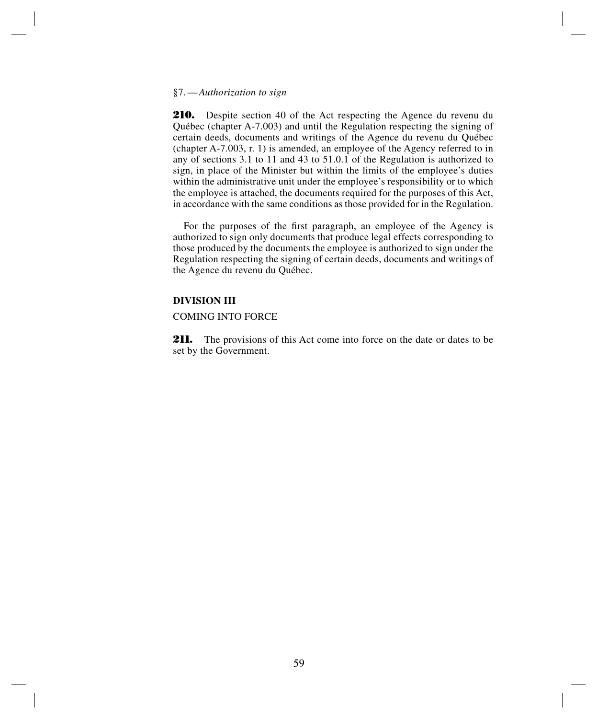#### §7.—*Authorization to sign*

**210.** Despite section 40 of the Act respecting the Agence du revenu du Québec (chapter A-7.003) and until the Regulation respecting the signing of certain deeds, documents and writings of the Agence du revenu du Québec (chapter A-7.003, r. 1) is amended, an employee of the Agency referred to in any of sections 3.1 to 11 and 43 to 51.0.1 of the Regulation is authorized to sign, in place of the Minister but within the limits of the employee's duties within the administrative unit under the employee's responsibility or to which the employee is attached, the documents required for the purposes of this Act, in accordance with the same conditions as those provided for in the Regulation.

For the purposes of the first paragraph, an employee of the Agency is authorized to sign only documents that produce legal effects corresponding to those produced by the documents the employee is authorized to sign under the Regulation respecting the signing of certain deeds, documents and writings of the Agence du revenu du Québec.

# **DIVISION III**

# COMING INTO FORCE

**211.** The provisions of this Act come into force on the date or dates to be set by the Government.